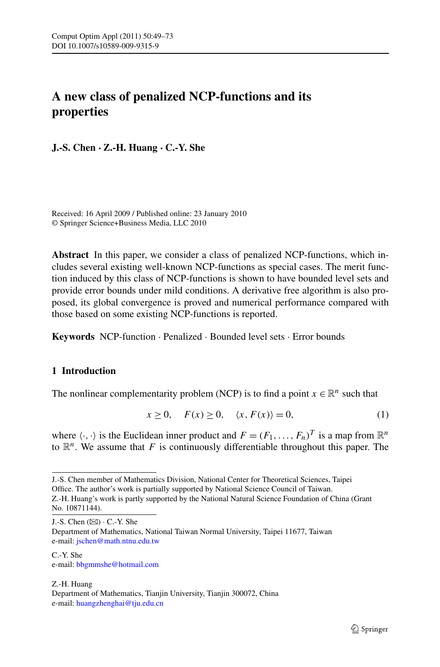# **A new class of penalized NCP-functions and its properties**

**J.-S. Chen · Z.-H. Huang · C.-Y. She**

Received: 16 April 2009 / Published online: 23 January 2010 © Springer Science+Business Media, LLC 2010

**Abstract** In this paper, we consider a class of penalized NCP-functions, which includes several existing well-known NCP-functions as special cases. The merit function induced by this class of NCP-functions is shown to have bounded level sets and provide error bounds under mild conditions. A derivative free algorithm is also proposed, its global convergence is proved and numerical performance compared with those based on some existing NCP-functions is reported.

<span id="page-0-0"></span>**Keywords** NCP-function · Penalized · Bounded level sets · Error bounds

### **1 Introduction**

The nonlinear complementarity problem (NCP) is to find a point  $x \in \mathbb{R}^n$  such that

$$
x \ge 0, \quad F(x) \ge 0, \quad \langle x, F(x) \rangle = 0,\tag{1}
$$

where  $\langle \cdot, \cdot \rangle$  is the Euclidean inner product and  $F = (F_1, \ldots, F_n)^T$  is a map from  $\mathbb{R}^n$ to  $\mathbb{R}^n$ . We assume that *F* is continuously differentiable throughout this paper. The

J.-S. Chen  $(\boxtimes)$   $\cdot$  C.-Y. She

C.-Y. She e-mail: [bbgmmshe@hotmail.com](mailto:bbgmmshe@hotmail.com)

Z.-H. Huang Department of Mathematics, Tianjin University, Tianjin 300072, China e-mail: [huangzhenghai@tju.edu.cn](mailto:huangzhenghai@tju.edu.cn)

J.-S. Chen member of Mathematics Division, National Center for Theoretical Sciences, Taipei Office. The author's work is partially supported by National Science Council of Taiwan. Z.-H. Huang's work is partly supported by the National Natural Science Foundation of China (Grant No. 10871144).

Department of Mathematics, National Taiwan Normal University, Taipei 11677, Taiwan e-mail: [jschen@math.ntnu.edu.tw](mailto:jschen@math.ntnu.edu.tw)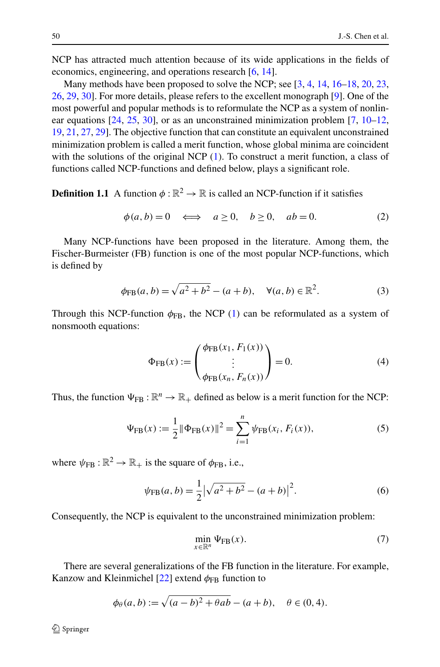NCP has attracted much attention because of its wide applications in the fields of economics, engineering, and operations research [\[6](#page-23-0), [14](#page-23-1)].

Many methods have been proposed to solve the NCP; see [\[3](#page-23-2), [4,](#page-23-3) [14,](#page-23-1) [16](#page-23-4)[–18](#page-23-5), [20](#page-24-0), [23](#page-24-1), [26,](#page-24-2) [29](#page-24-3), [30](#page-24-4)]. For more details, please refers to the excellent monograph [[9\]](#page-23-6). One of the most powerful and popular methods is to reformulate the NCP as a system of nonlinear equations  $[24, 25, 30]$  $[24, 25, 30]$  $[24, 25, 30]$  $[24, 25, 30]$  $[24, 25, 30]$  $[24, 25, 30]$ , or as an unconstrained minimization problem  $[7, 10-12]$  $[7, 10-12]$  $[7, 10-12]$  $[7, 10-12]$  $[7, 10-12]$ , [19,](#page-23-10) [21](#page-24-7), [27,](#page-24-8) [29](#page-24-3)]. The objective function that can constitute an equivalent unconstrained minimization problem is called a merit function, whose global minima are coincident with the solutions of the original NCP [\(1](#page-0-0)). To construct a merit function, a class of functions called NCP-functions and defined below, plays a significant role.

**Definition 1.1** A function  $\phi : \mathbb{R}^2 \to \mathbb{R}$  is called an NCP-function if it satisfies

$$
\phi(a, b) = 0 \iff a \ge 0, \quad b \ge 0, \quad ab = 0. \tag{2}
$$

Many NCP-functions have been proposed in the literature. Among them, the Fischer-Burmeister (FB) function is one of the most popular NCP-functions, which is defined by

$$
\phi_{FB}(a, b) = \sqrt{a^2 + b^2} - (a + b), \quad \forall (a, b) \in \mathbb{R}^2.
$$
 (3)

Through this NCP-function  $\phi_{FB}$ , the NCP [\(1](#page-0-0)) can be reformulated as a system of nonsmooth equations:

$$
\Phi_{\rm FB}(x) := \begin{pmatrix} \phi_{\rm FB}(x_1, F_1(x)) \\ \vdots \\ \phi_{\rm FB}(x_n, F_n(x)) \end{pmatrix} = 0.
$$
 (4)

Thus, the function  $\Psi_{FB} : \mathbb{R}^n \to \mathbb{R}_+$  defined as below is a merit function for the NCP:

$$
\Psi_{\text{FB}}(x) := \frac{1}{2} \|\Phi_{\text{FB}}(x)\|^2 = \sum_{i=1}^n \psi_{\text{FB}}(x_i, F_i(x)),\tag{5}
$$

where  $\psi_{FB} : \mathbb{R}^2 \to \mathbb{R}_+$  is the square of  $\phi_{FB}$ , i.e.,

$$
\psi_{\text{FB}}(a,b) = \frac{1}{2} |\sqrt{a^2 + b^2} - (a+b)|^2.
$$
 (6)

Consequently, the NCP is equivalent to the unconstrained minimization problem:

$$
\min_{x \in \mathbb{R}^n} \Psi_{\text{FB}}(x). \tag{7}
$$

There are several generalizations of the FB function in the literature. For example, Kanzow and Kleinmichel  $[22]$  $[22]$  extend  $\phi_{FB}$  function to

$$
\phi_{\theta}(a, b) := \sqrt{(a - b)^2 + \theta ab - (a + b)}, \quad \theta \in (0, 4).
$$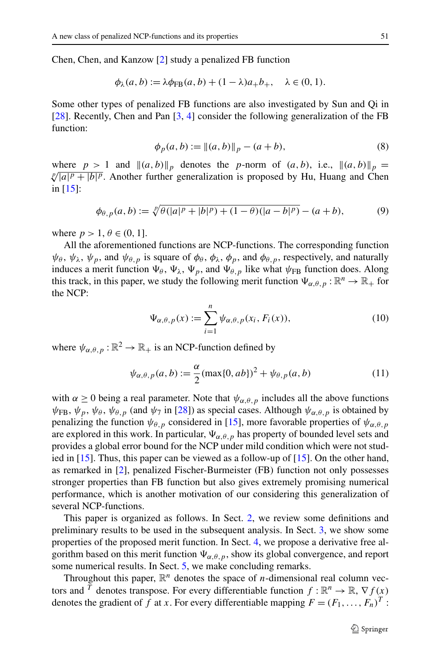Chen, Chen, and Kanzow [\[2](#page-23-11)] study a penalized FB function

$$
\phi_{\lambda}(a,b) := \lambda \phi_{\text{FB}}(a,b) + (1-\lambda)a_{+}b_{+}, \quad \lambda \in (0,1).
$$

<span id="page-2-2"></span>Some other types of penalized FB functions are also investigated by Sun and Qi in [\[28](#page-24-10)]. Recently, Chen and Pan [\[3](#page-23-2), [4](#page-23-3)] consider the following generalization of the FB function:

$$
\phi_p(a, b) := \|(a, b)\|_p - (a + b),\tag{8}
$$

where  $p > 1$  and  $\|(a, b)\|_p$  denotes the *p*-norm of  $(a, b)$ , i.e.,  $\|(a, b)\|$ where  $p > 1$  and  $||(a, b)||_p$  denotes the p-norm of  $(a, b)$ , i.e.,  $||(a, b)||_p = \sqrt[p]{|a|^p + |b|^p}$ . Another further generalization is proposed by Hu, Huang and Chen in [\[15](#page-23-12)]:

$$
\phi_{\theta, p}(a, b) := \sqrt[p]{\theta(|a|^p + |b|^p) + (1 - \theta)(|a - b|^p)} - (a + b),\tag{9}
$$

<span id="page-2-1"></span>where  $p > 1, \theta \in (0, 1]$ .

<span id="page-2-0"></span>All the aforementioned functions are NCP-functions. The corresponding function  $\psi_{\theta}$ ,  $\psi_{\lambda}$ ,  $\psi_{p}$ , and  $\psi_{\theta, p}$  is square of  $\phi_{\theta}$ ,  $\phi_{\lambda}$ ,  $\phi_{p}$ , and  $\phi_{\theta, p}$ , respectively, and naturally induces a merit function  $\Psi_{\beta}$ ,  $\Psi_{\lambda}$ ,  $\Psi_{p}$ , and  $\Psi_{\beta}$  like what  $\psi_{FB}$  function does. Along this track, in this paper, we study the following merit function  $\Psi_{\alpha,\theta,p} : \mathbb{R}^n \to \mathbb{R}_+$  for the NCP:

$$
\Psi_{\alpha,\theta,p}(x) := \sum_{i=1}^{n} \psi_{\alpha,\theta,p}(x_i, F_i(x)),
$$
\n(10)

where  $\psi_{\alpha,\theta,p}:\mathbb{R}^2\to\mathbb{R}_+$  is an NCP-function defined by

$$
\psi_{\alpha,\theta,p}(a,b) := \frac{\alpha}{2} (\max\{0, ab\})^2 + \psi_{\theta,p}(a,b)
$$
\n(11)

with  $\alpha \geq 0$  being a real parameter. Note that  $\psi_{\alpha,\theta,\eta}$  includes all the above functions  $\psi_{FB}$ ,  $\psi_p$ ,  $\psi_\theta$ ,  $\psi_{\theta,p}$  (and  $\psi_7$  in [[28\]](#page-24-10)) as special cases. Although  $\psi_{\alpha,\theta,p}$  is obtained by penalizing the function  $\psi_{\theta,p}$  considered in [[15\]](#page-23-12), more favorable properties of  $\psi_{\alpha,\theta,p}$ are explored in this work. In particular,  $\Psi_{\alpha,\theta,p}$  has property of bounded level sets and provides a global error bound for the NCP under mild condition which were not studied in [[15\]](#page-23-12). Thus, this paper can be viewed as a follow-up of [\[15](#page-23-12)]. On the other hand, as remarked in [[2\]](#page-23-11), penalized Fischer-Burmeister (FB) function not only possesses stronger properties than FB function but also gives extremely promising numerical performance, which is another motivation of our considering this generalization of several NCP-functions.

This paper is organized as follows. In Sect. [2,](#page-3-0) we review some definitions and preliminary results to be used in the subsequent analysis. In Sect. [3,](#page-4-0) we show some properties of the proposed merit function. In Sect. [4](#page-15-0), we propose a derivative free algorithm based on this merit function  $\Psi_{\alpha,\theta,p}$ , show its global convergence, and report some numerical results. In Sect. [5,](#page-23-13) we make concluding remarks.

Throughout this paper,  $\mathbb{R}^n$  denotes the space of *n*-dimensional real column vectors and <sup>*T*</sup> denotes transpose. For every differentiable function  $f : \mathbb{R}^n \to \mathbb{R}, \nabla f(x)$ denotes the gradient of *f* at *x*. For every differentiable mapping  $F = (F_1, \ldots, F_n)^T$ :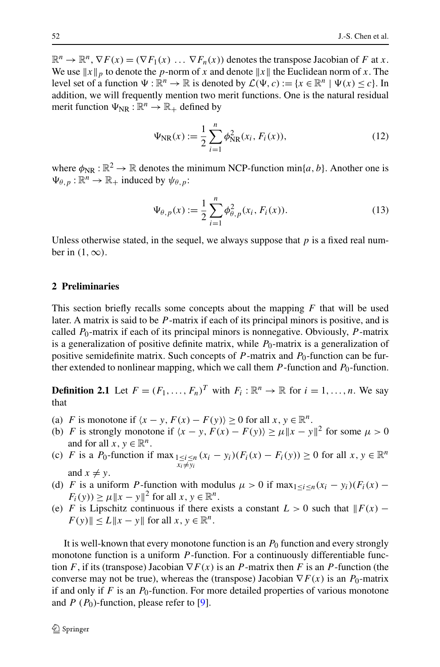<span id="page-3-2"></span> $\mathbb{R}^n \to \mathbb{R}^n$ ,  $\nabla F(x) = (\nabla F_1(x) \dots \nabla F_n(x))$  denotes the transpose Jacobian of *F* at *x*. We use  $||x||_p$  to denote the *p*-norm of *x* and denote  $||x||$  the Euclidean norm of *x*. The level set of a function  $\Psi : \mathbb{R}^n \to \mathbb{R}$  is denoted by  $\mathcal{L}(\Psi, c) := \{x \in \mathbb{R}^n \mid \Psi(x) \leq c\}$ . In addition, we will frequently mention two merit functions. One is the natural residual merit function  $\Psi_{\text{NR}} : \mathbb{R}^n \to \mathbb{R}_+$  defined by

$$
\Psi_{\rm NR}(x) := \frac{1}{2} \sum_{i=1}^{n} \phi_{\rm NR}^2(x_i, F_i(x)), \tag{12}
$$

<span id="page-3-1"></span>where  $\phi_{\text{NR}} : \mathbb{R}^2 \to \mathbb{R}$  denotes the minimum NCP-function min{*a*, *b*}. Another one is  $\Psi_{\theta, p} : \mathbb{R}^n \to \mathbb{R}_+$  induced by  $\psi_{\theta, p}$ :

$$
\Psi_{\theta, p}(x) := \frac{1}{2} \sum_{i=1}^{n} \phi_{\theta, p}^{2}(x_i, F_i(x)).
$$
\n(13)

<span id="page-3-0"></span>Unless otherwise stated, in the sequel, we always suppose that  $p$  is a fixed real number in  $(1, \infty)$ .

#### **2 Preliminaries**

This section briefly recalls some concepts about the mapping *F* that will be used later. A matrix is said to be *P* -matrix if each of its principal minors is positive, and is called  $P_0$ -matrix if each of its principal minors is nonnegative. Obviously,  $P$ -matrix is a generalization of positive definite matrix, while  $P_0$ -matrix is a generalization of positive semidefinite matrix. Such concepts of  $P$ -matrix and  $P_0$ -function can be further extended to nonlinear mapping, which we call them *P*-function and *P*<sub>0</sub>-function.

**Definition 2.1** Let  $F = (F_1, \ldots, F_n)^T$  with  $F_i : \mathbb{R}^n \to \mathbb{R}$  for  $i = 1, \ldots, n$ . We say that

- (a) *F* is monotone if  $\langle x y, F(x) F(y) \rangle \ge 0$  for all  $x, y \in \mathbb{R}^n$ .
- (b) *F* is strongly monotone if  $\langle x y, F(x) F(y) \rangle \ge \mu \|x y\|^2$  for some  $\mu > 0$ and for all  $x, y \in \mathbb{R}^n$ .
- (c) *F* is a *P*<sub>0</sub>-function if max $\lim_{\substack{1 \le i \le n \\ x_i \neq y_i}} (x_i y_i)(F_i(x) F_i(y)) \ge 0$  for all  $x, y \in \mathbb{R}^n$ and  $x \neq y$ .
- (d) *F* is a uniform *P*-function with modulus  $\mu > 0$  if  $\max_{1 \le i \le n} (x_i y_i)(F_i(x) F_i(y)$ )  $\geq \mu \|x - y\|^2$  for all  $x, y \in \mathbb{R}^n$ .
- (e) *F* is Lipschitz continuous if there exists a constant  $L > 0$  such that  $\| F(x) F\|$  $F(y)$   $\leq L \|x - y\|$  for all  $x, y \in \mathbb{R}^n$ .

It is well-known that every monotone function is an *P*<sup>0</sup> function and every strongly monotone function is a uniform *P*-function. For a continuously differentiable function *F*, if its (transpose) Jacobian  $\nabla F(x)$  is an *P*-matrix then *F* is an *P*-function (the converse may not be true), whereas the (transpose) Jacobian  $\nabla F(x)$  is an *P*<sub>0</sub>-matrix if and only if  $F$  is an  $P_0$ -function. For more detailed properties of various monotone and  $P(P_0)$ -function, please refer to [\[9](#page-23-6)].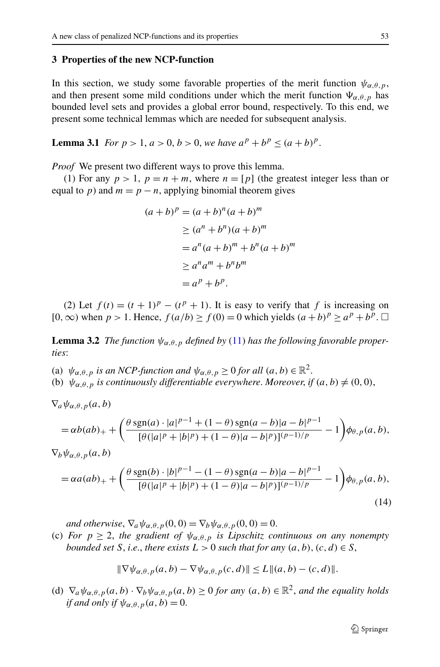#### <span id="page-4-2"></span><span id="page-4-0"></span>**3 Properties of the new NCP-function**

In this section, we study some favorable properties of the merit function  $\psi_{\alpha,\theta,p}$ , and then present some mild conditions under which the merit function  $\Psi_{\alpha,\theta,p}$  has bounded level sets and provides a global error bound, respectively. To this end, we present some technical lemmas which are needed for subsequent analysis.

**Lemma 3.1** *For*  $p > 1$ ,  $a > 0$ ,  $b > 0$ , we have  $a^p + b^p < (a + b)^p$ .

*Proof* We present two different ways to prove this lemma.

(1) For any  $p > 1$ ,  $p = n + m$ , where  $n = [p]$  (the greatest integer less than or equal to *p*) and  $m = p - n$ , applying binomial theorem gives

$$
(a+b)^p = (a+b)^n (a+b)^m
$$
  
\n
$$
\ge (a^n + b^n)(a+b)^m
$$
  
\n
$$
= a^n (a+b)^m + b^n (a+b)^m
$$
  
\n
$$
\ge a^n a^m + b^n b^m
$$
  
\n
$$
= a^p + b^p.
$$

<span id="page-4-3"></span><span id="page-4-1"></span>(2) Let  $f(t) = (t + 1)^p - (t^p + 1)$ . It is easy to verify that f is increasing on [0, ∞) when  $p > 1$ . Hence,  $f(a/b) \ge f(0) = 0$  which yields  $(a+b)^p \ge a^p + b^p$ . □

**Lemma 3.2** *The function*  $\psi_{\alpha,\theta,p}$  *defined by* ([11\)](#page-2-0) *has the following favorable properties*:

(a)  $\psi_{\alpha,\theta,p}$  *is an NCP-function and*  $\psi_{\alpha,\theta,p} \ge 0$  *for all*  $(a,b) \in \mathbb{R}^2$ .

(b)  $\psi_{\alpha,\theta,p}$  *is continuously differentiable everywhere. Moreover, if*  $(a,b) \neq (0,0)$ ,

$$
= \alpha b(ab)_{+} + \left(\frac{\theta \operatorname{sgn}(a) \cdot |a|^{p-1} + (1-\theta) \operatorname{sgn}(a-b)|a-b|^{p-1}}{[\theta (|a|^p + |b|^p) + (1-\theta)|a-b|^p)]^{(p-1)/p}} - 1\right) \phi_{\theta, p}(a, b),
$$

 $\nabla_b \psi_{\alpha,\theta,p}(a,b)$ 

 $\nabla_a \psi_{\alpha,\theta,p}(a,b)$ 

$$
= \alpha a(ab)_{+} + \left(\frac{\theta \operatorname{sgn}(b) \cdot |b|^{p-1} - (1-\theta) \operatorname{sgn}(a-b)|a-b|^{p-1}}{[\theta (|a|^p + |b|^p) + (1-\theta)|a-b|^p)]^{(p-1)/p}} - 1\right) \phi_{\theta, p}(a, b),\tag{14}
$$

*and otherwise*,  $\nabla_a \psi_{\alpha,\theta,p}(0,0) = \nabla_b \psi_{\alpha,\theta,p}(0,0) = 0.$ 

(c) *For*  $p \ge 2$ , *the gradient of*  $\psi_{\alpha,\theta,p}$  *is Lipschitz continuous on any nonempty bounded set S*, *i.e.*, *there exists*  $L > 0$  *such that for any*  $(a, b)$ ,  $(c, d) \in S$ ,

$$
\|\nabla \psi_{\alpha,\theta,p}(a,b) - \nabla \psi_{\alpha,\theta,p}(c,d)\| \le L\|(a,b) - (c,d)\|.
$$

(d)  $\nabla_a \psi_{\alpha,\theta,p}(a,b) \cdot \nabla_b \psi_{\alpha,\theta,p}(a,b) \ge 0$  *for any*  $(a,b) \in \mathbb{R}^2$ *, and the equality holds if and only if*  $\psi_{\alpha,\theta,p}(a,b) = 0$ .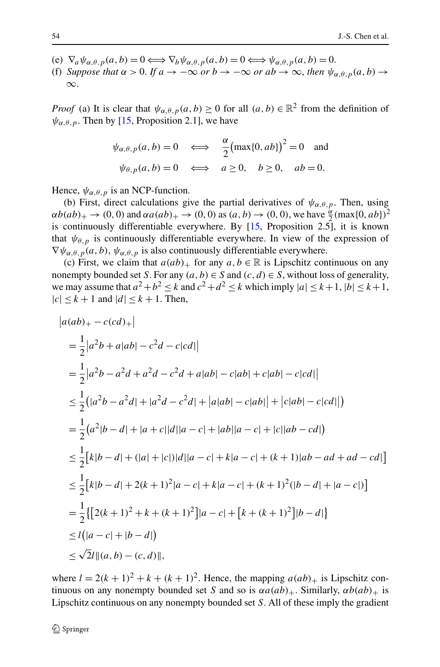- (e)  $\nabla_a \psi_{\alpha,\theta,p}(a,b) = 0 \Longleftrightarrow \nabla_b \psi_{\alpha,\theta,p}(a,b) = 0 \Longleftrightarrow \psi_{\alpha,\theta,p}(a,b) = 0.$
- (f) *Suppose that*  $\alpha > 0$ . If  $a \to -\infty$  *or*  $b \to -\infty$  *or*  $ab \to \infty$ , *then*  $\psi_{\alpha,\theta,p}(a,b) \to$ ∞.

*Proof* (a) It is clear that  $\psi_{\alpha,\theta,p}(a,b) \ge 0$  for all  $(a,b) \in \mathbb{R}^2$  from the definition of  $\psi_{\alpha,\theta,p}$ . Then by [\[15](#page-23-12), Proposition 2.1], we have

$$
\psi_{\alpha,\theta,p}(a,b) = 0 \iff \frac{\alpha}{2} (\max\{0, ab\})^2 = 0
$$
 and  
 $\psi_{\theta,p}(a,b) = 0 \iff a \ge 0, b \ge 0, ab = 0.$ 

Hence,  $\psi_{\alpha,\theta,p}$  is an NCP-function.

(b) First, direct calculations give the partial derivatives of  $\psi_{\alpha,\theta,p}$ . Then, using  $\alpha b(ab)_{+} \to (0, 0)$  and  $\alpha a(ab)_{+} \to (0, 0)$  as  $(a, b) \to (0, 0)$ , we have  $\frac{\alpha}{2}(\max\{0, ab\})^2$ is continuously differentiable everywhere. By [[15,](#page-23-12) Proposition 2.5], it is known that  $\psi_{\theta,p}$  is continuously differentiable everywhere. In view of the expression of  $\nabla \psi_{\alpha,\theta,p}(a,b), \psi_{\alpha,\theta,p}$  is also continuously differentiable everywhere.

(c) First, we claim that  $a(ab)_+$  for any  $a, b \in \mathbb{R}$  is Lipschitz continuous on any nonempty bounded set *S*. For any  $(a, b) \in S$  and  $(c, d) \in S$ , without loss of generality, we may assume that  $a^2 + b^2 < k$  and  $c^2 + d^2 < k$  which imply  $|a| < k+1$ ,  $|b| < k+1$ ,  $|c| \leq k+1$  and  $|d| \leq k+1$ . Then,

$$
|a(ab)_{+} - c(cd)_{+}|
$$
  
\n
$$
= \frac{1}{2}|a^{2}b + a|ab| - c^{2}d - c|cd||
$$
  
\n
$$
= \frac{1}{2}|a^{2}b - a^{2}d + a^{2}d - c^{2}d + a|ab| - c|ab| + c|ab| - c|cd||
$$
  
\n
$$
\leq \frac{1}{2}(|a^{2}b - a^{2}d| + |a^{2}d - c^{2}d| + |a|ab| - c|ab|| + |c|ab| - c|cd||)
$$
  
\n
$$
= \frac{1}{2}(a^{2}|b - d| + |a + c||d||a - c| + |ab||a - c| + |c||ab - cd|)
$$
  
\n
$$
\leq \frac{1}{2}[k|b - d| + (|a| + |c|)|d||a - c| + k|a - c| + (k + 1)|ab - ad + ad - cd|]
$$
  
\n
$$
\leq \frac{1}{2}[k|b - d| + 2(k + 1)^{2}|a - c| + k|a - c| + (k + 1)^{2}(|b - d| + |a - c|)]
$$
  
\n
$$
= \frac{1}{2}\{[2(k + 1)^{2} + k + (k + 1)^{2}]|a - c| + [k + (k + 1)^{2}]|b - d|\}
$$
  
\n
$$
\leq l(|a - c| + |b - d|)
$$
  
\n
$$
\leq \sqrt{2}l|(a, b) - (c, d)|,
$$

where  $l = 2(k + 1)^2 + k + (k + 1)^2$ . Hence, the mapping  $a(ab)_+$  is Lipschitz continuous on any nonempty bounded set *S* and so is  $\alpha a(ab)_+$ . Similarly,  $\alpha b(ab)_+$  is Lipschitz continuous on any nonempty bounded set *S*. All of these imply the gradient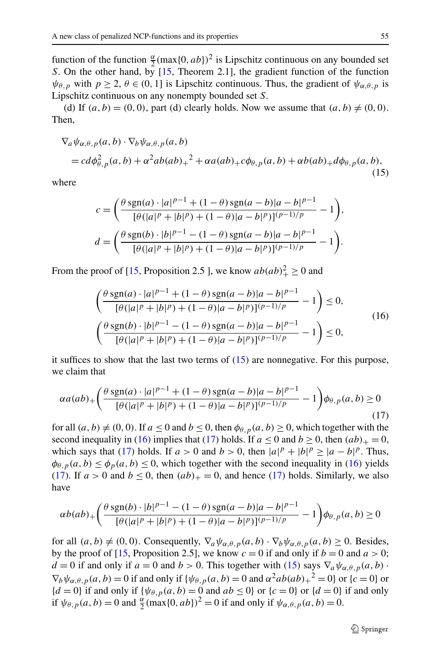<span id="page-6-0"></span>function of the function  $\frac{\alpha}{2}$   $(\max\{0, ab\})^2$  is Lipschitz continuous on any bounded set *S*. On the other hand, by [[15,](#page-23-12) Theorem 2.1], the gradient function of the function  $\psi_{\theta, p}$  with  $p \ge 2$ ,  $\theta \in (0, 1]$  is Lipschitz continuous. Thus, the gradient of  $\psi_{\alpha, \theta, p}$  is Lipschitz continuous on any nonempty bounded set *S*.

(d) If  $(a, b) = (0, 0)$ , part (d) clearly holds. Now we assume that  $(a, b) \neq (0, 0)$ . Then,

$$
\nabla_a \psi_{\alpha,\theta,p}(a,b) \cdot \nabla_b \psi_{\alpha,\theta,p}(a,b)
$$
  
=  $cd\phi_{\theta,p}^2(a,b) + \alpha^2 ab(ab)_+^2 + \alpha a(ab)_+ c\phi_{\theta,p}(a,b) + \alpha b(ab)_+ d\phi_{\theta,p}(a,b),$  (15)

<span id="page-6-1"></span>where

$$
c = \left(\frac{\theta \operatorname{sgn}(a) \cdot |a|^{p-1} + (1-\theta) \operatorname{sgn}(a-b)|a-b|^{p-1}}{[\theta(|a|^p + |b|^p) + (1-\theta)|a-b|^p)]^{(p-1)/p}} - 1\right),
$$
  

$$
d = \left(\frac{\theta \operatorname{sgn}(b) \cdot |b|^{p-1} - (1-\theta) \operatorname{sgn}(a-b)|a-b|^{p-1}}{[\theta(|a|^p + |b|^p) + (1-\theta)|a-b|^p)]^{(p-1)/p}} - 1\right).
$$

<span id="page-6-2"></span>From the proof of [[15,](#page-23-12) Proposition 2.5 ], we know  $ab(ab)_+^2 \ge 0$  and

$$
\begin{aligned}\n&\left(\frac{\theta \operatorname{sgn}(a) \cdot |a|^{p-1} + (1-\theta) \operatorname{sgn}(a-b)|a-b|^{p-1}}{[\theta(|a|^p + |b|^p) + (1-\theta)|a-b|^p)]^{(p-1)/p}} - 1\right) \le 0, \\
&\left(\frac{\theta \operatorname{sgn}(b) \cdot |b|^{p-1} - (1-\theta) \operatorname{sgn}(a-b)|a-b|^{p-1}}{[\theta(|a|^p + |b|^p) + (1-\theta)|a-b|^p)]^{(p-1)/p}} - 1\right) \le 0,\n\end{aligned} \tag{16}
$$

it suffices to show that the last two terms of [\(15](#page-6-0)) are nonnegative. For this purpose, we claim that

$$
\alpha a(ab)_{+} \left( \frac{\theta \operatorname{sgn}(a) \cdot |a|^{p-1} + (1 - \theta) \operatorname{sgn}(a - b)|a - b|^{p-1}}{[\theta (|a|^p + |b|^p) + (1 - \theta)|a - b|^p]^{(p-1)/p}} - 1 \right) \phi_{\theta, p}(a, b) \ge 0
$$
\n(17)

for all  $(a, b) \neq (0, 0)$ . If  $a \leq 0$  and  $b \leq 0$ , then  $\phi_{\theta, p}(a, b) \geq 0$ , which together with the second inequality in ([16](#page-6-1)) implies that ([17](#page-6-2)) holds. If  $a \le 0$  and  $b \ge 0$ , then  $(ab)_+ = 0$ , which says that [\(17](#page-6-2)) holds. If  $a > 0$  and  $b > 0$ , then  $|a|^p + |b|^p \ge |a - b|^p$ . Thus,  $\phi_{\theta,p}(a,b) \leq \phi_p(a,b) \leq 0$ , which together with the second inequality in [\(16](#page-6-1)) yields [\(17](#page-6-2)). If  $a > 0$  and  $b \le 0$ , then  $(ab)_{+} = 0$ , and hence ([17\)](#page-6-2) holds. Similarly, we also have

$$
\alpha b(ab)_{+}\left(\frac{\theta \operatorname{sgn}(b) \cdot |b|^{p-1} - (1-\theta) \operatorname{sgn}(a-b)|a-b|^{p-1}}{[\theta (|a|^p + |b|^p) + (1-\theta)|a-b|^p)]^{(p-1)/p}} - 1\right) \phi_{\theta, p}(a, b) \ge 0
$$

for all  $(a, b) \neq (0, 0)$ . Consequently,  $\nabla_a \psi_{\alpha, \theta, p}(a, b) \cdot \nabla_b \psi_{\alpha, \theta, p}(a, b) \geq 0$ . Besides, by the proof of [[15,](#page-23-12) Proposition 2.5], we know  $c = 0$  if and only if  $b = 0$  and  $a > 0$ ; *d* = 0 if and only if *a* = 0 and *b* > 0. This together with ([15\)](#page-6-0) says  $\nabla_a \psi_{\alpha,\theta,p}(a,b)$ .  $\nabla_b \psi_{\alpha,\theta,p}(a,b) = 0$  if and only if  $\{\psi_{\theta,p}(a,b) = 0$  and  $\alpha^2 ab(ab)_+^2 = 0\}$  or  $\{c = 0\}$  or  ${d = 0}$  if and only if  ${\psi_{\theta, p}(a, b) = 0}$  and  $ab \le 0$  or  ${c = 0}$  or  ${d = 0}$  if and only if  $\psi_{\theta, p}(a, b) = 0$  and  $\frac{\alpha}{2}$  (max{0*,ab*})<sup>2</sup> = 0 if and only if  $\psi_{\alpha, \theta, p}(a, b) = 0$ .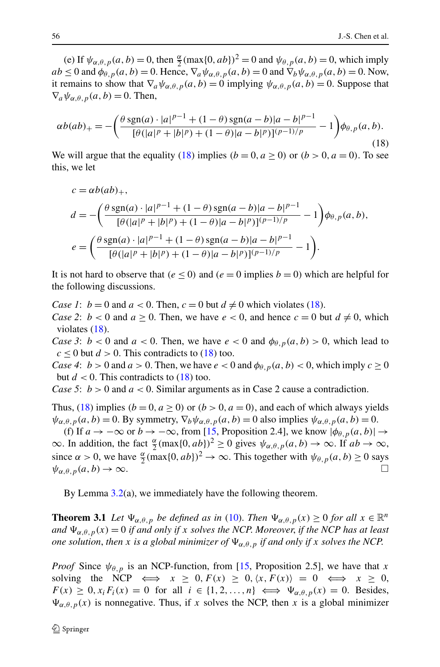<span id="page-7-0"></span>(e) If  $\psi_{\alpha,\theta,p}(a,b) = 0$ , then  $\frac{\alpha}{2}(\max\{0, ab\})^2 = 0$  and  $\psi_{\theta,p}(a,b) = 0$ , which imply  $ab \le 0$  and  $\phi_{\theta,p}(a,b) = 0$ . Hence,  $\nabla_a \psi_{\alpha,\theta,p}(a,b) = 0$  and  $\nabla_b \psi_{\alpha,\theta,p}(a,b) = 0$ . Now, it remains to show that  $\nabla_a \psi_{\alpha,\theta,p}(a,b) = 0$  implying  $\psi_{\alpha,\theta,p}(a,b) = 0$ . Suppose that  $\nabla_a \psi_{\alpha,\theta,\eta}(a,b) = 0$ . Then,

$$
\alpha b(ab)_{+} = -\left(\frac{\theta \operatorname{sgn}(a) \cdot |a|^{p-1} + (1-\theta) \operatorname{sgn}(a-b)|a-b|^{p-1}}{[\theta(|a|^p + |b|^p) + (1-\theta)|a-b|^p)]^{(p-1)/p}} - 1\right) \phi_{\theta, p}(a, b).
$$
\n(18)

We will argue that the equality [\(18](#page-7-0)) implies  $(b = 0, a \ge 0)$  or  $(b > 0, a = 0)$ . To see this, we let

$$
c = \alpha b(ab)_+,
$$
  
\n
$$
d = -\left(\frac{\theta \operatorname{sgn}(a) \cdot |a|^{p-1} + (1-\theta) \operatorname{sgn}(a-b)|a-b|^{p-1}}{[\theta(|a|^p + |b|^p) + (1-\theta)|a-b|^p)]^{(p-1)/p}} - 1\right) \phi_{\theta, p}(a, b),
$$
  
\n
$$
e = \left(\frac{\theta \operatorname{sgn}(a) \cdot |a|^{p-1} + (1-\theta) \operatorname{sgn}(a-b)|a-b|^{p-1}}{[\theta(|a|^p + |b|^p) + (1-\theta)|a-b|^p)]^{(p-1)/p}} - 1\right).
$$

It is not hard to observe that  $(e \le 0)$  and  $(e = 0$  implies  $b = 0$ ) which are helpful for the following discussions.

*Case 1*:  $b = 0$  and  $a < 0$ . Then,  $c = 0$  but  $d \neq 0$  which violates ([18\)](#page-7-0).

*Case 2*:  $b < 0$  and  $a \ge 0$ . Then, we have  $e < 0$ , and hence  $c = 0$  but  $d \ne 0$ , which violates ([18\)](#page-7-0).

*Case 3*:  $b < 0$  and  $a < 0$ . Then, we have  $e < 0$  and  $\phi_{\theta, p}(a, b) > 0$ , which lead to  $c \leq 0$  but  $d > 0$ . This contradicts to [\(18](#page-7-0)) too.

*Case 4*:  $b > 0$  and  $a > 0$ . Then, we have  $e < 0$  and  $\phi_{\theta, p}(a, b) < 0$ , which imply  $c \ge 0$ but  $d < 0$ . This contradicts to  $(18)$  $(18)$  too.

*Case 5*: *b >* 0 and *a <* 0. Similar arguments as in Case 2 cause a contradiction.

Thus, [\(18](#page-7-0)) implies  $(b = 0, a \ge 0)$  or  $(b > 0, a = 0)$ , and each of which always yields  $\psi_{\alpha,\theta,p}(a,b) = 0$ . By symmetry,  $\nabla_b \psi_{\alpha,\theta,p}(a,b) = 0$  also implies  $\psi_{\alpha,\theta,p}(a,b) = 0$ .

<span id="page-7-1"></span>(f) If  $a \to -\infty$  or  $b \to -\infty$ , from [\[15](#page-23-12), Proposition 2.4], we know  $|\phi_{\theta, p}(a, b)| \to$  $\infty$ . In addition, the fact  $\frac{\alpha}{2}$ (max{0*,ab*})<sup>2</sup> ≥ 0 gives  $\psi_{\alpha,\theta,p}(a,b) \to \infty$ . If  $ab \to \infty$ , since  $\alpha > 0$ , we have  $\frac{\alpha}{2}$ (max{0*,ab*})<sup>2</sup> → ∞. This together with  $\psi_{\theta, p}(a, b) \ge 0$  says  $\psi_{\alpha,\theta,\eta}(a,b) \to \infty.$ 

By Lemma [3.2](#page-4-1)(a), we immediately have the following theorem.

**Theorem 3.1** Let  $\Psi_{\alpha,\theta,p}$  be defined as in [\(10](#page-2-1)). Then  $\Psi_{\alpha,\theta,p}(x) \ge 0$  for all  $x \in \mathbb{R}^n$ *and*  $\Psi_{\alpha,\theta,p}(x) = 0$  *if and only if x solves the NCP. Moreover, if the NCP has at least one solution, then x is a global minimizer of*  $\Psi_{\alpha,\theta,p}$  *if and only if x solves the NCP.* 

*Proof* Since  $\psi_{\theta, p}$  is an NCP-function, from [\[15](#page-23-12), Proposition 2.5], we have that *x* solving the NCP  $\iff$   $x \geq 0, F(x) \geq 0, \langle x, F(x) \rangle = 0 \iff x \geq 0$ ,  $F(x) \geq 0, x_i F_i(x) = 0$  for all  $i \in \{1, 2, ..., n\} \iff \Psi_{\alpha, \theta, p}(x) = 0$ . Besides,  $\Psi_{\alpha,\theta,p}(x)$  is nonnegative. Thus, if *x* solves the NCP, then *x* is a global minimizer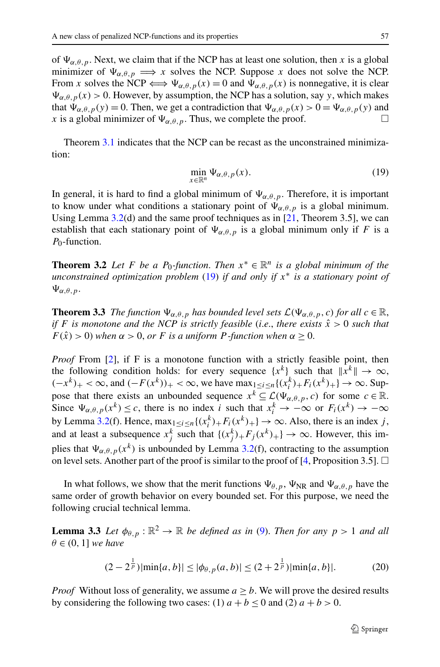<span id="page-8-0"></span>of  $\Psi_{\alpha,\theta,p}$ . Next, we claim that if the NCP has at least one solution, then x is a global minimizer of  $\Psi_{\alpha,\theta,p} \implies x$  solves the NCP. Suppose x does not solve the NCP. From *x* solves the NCP  $\Longleftrightarrow \Psi_{\alpha,\theta,p}(x) = 0$  and  $\Psi_{\alpha,\theta,p}(x)$  is nonnegative, it is clear  $\Psi_{\alpha,\theta,p}(x) > 0$ . However, by assumption, the NCP has a solution, say *y*, which makes that  $\Psi_{\alpha,\theta,p}(y) = 0$ . Then, we get a contradiction that  $\Psi_{\alpha,\theta,p}(x) > 0 = \Psi_{\alpha,\theta,p}(y)$  and *x* is a global minimizer of  $\Psi_{\alpha,\theta,p}$ . Thus, we complete the proof.

Theorem [3.1](#page-7-1) indicates that the NCP can be recast as the unconstrained minimization:

$$
\min_{x \in \mathbb{R}^n} \Psi_{\alpha,\theta,p}(x). \tag{19}
$$

In general, it is hard to find a global minimum of  $\Psi_{\alpha,\theta,p}$ . Therefore, it is important to know under what conditions a stationary point of  $\Psi_{\alpha,\theta,p}$  is a global minimum. Using Lemma  $3.2$ (d) and the same proof techniques as in [\[21](#page-24-7), Theorem 3.5], we can establish that each stationary point of  $\Psi_{\alpha,\theta,p}$  is a global minimum only if *F* is a *P*0-function.

**Theorem 3.2** Let *F* be a  $P_0$ -function. Then  $x^* \in \mathbb{R}^n$  is a global minimum of the *unconstrained optimization problem* [\(19](#page-8-0)) *if and only if x*<sup>∗</sup> *is a stationary point of*  $\Psi_{\alpha,\theta,\,p}$ .

**Theorem 3.3** *The function*  $\Psi_{\alpha,\theta,p}$  *has bounded level sets*  $\mathcal{L}(\Psi_{\alpha,\theta,p},c)$  *for all*  $c \in \mathbb{R}$ , *if F is monotone and the NCP is strictly feasible (i.e., there exists*  $\hat{x} > 0$  *such that*  $F(\hat{x}) > 0$ ) *when*  $\alpha > 0$ , *or F is a uniform P*-function when  $\alpha \geq 0$ .

*Proof* From [\[2](#page-23-11)], if F is a monotone function with a strictly feasible point, then the following condition holds: for every sequence  $\{x^k\}$  such that  $\|x^k\| \to \infty$ ,  $(-x^k)_+ < \infty$ , and  $(-F(x^k))_+ < \infty$ , we have  $\max_{1 \le i \le n} \{(x_i^k)_+ F_i(x^k)_+ \} \to \infty$ . Suppose that there exists an unbounded sequence  $x^k \subseteq \mathcal{L}(\Psi_{\alpha,\theta,p},c)$  for some  $c \in \mathbb{R}$ . Since  $\Psi_{\alpha,\theta,p}(x^k) \leq c$ , there is no index *i* such that  $x_i^k \to -\infty$  or  $F_i(x^k) \to -\infty$ by Lemma [3.2](#page-4-1)(f). Hence,  $\max_{1 \le i \le n} \{(x_i^k) + F_i(x^k) + \} \to \infty$ . Also, there is an index *j*, and at least a subsequence  $x_j^k$  such that  $\{(x_j^k)_{+}F_j(x^k)_{+}\}\to\infty$ . However, this implies that  $\Psi_{\alpha,\theta,p}(x^k)$  is unbounded by Lemma [3.2](#page-4-1)(f), contracting to the assumption on level sets. Another part of the proof is similar to the proof of  $[4,$  $[4,$  Proposition 3.5].  $\Box$ 

<span id="page-8-2"></span><span id="page-8-1"></span>In what follows, we show that the merit functions  $\Psi_{\theta,p}$ ,  $\Psi_{NR}$  and  $\Psi_{\alpha,\theta,p}$  have the same order of growth behavior on every bounded set. For this purpose, we need the following crucial technical lemma.

**Lemma 3.3** *Let*  $\phi_{\theta, p} : \mathbb{R}^2 \to \mathbb{R}$  *be defined as in* ([9\)](#page-2-2). *Then for any*  $p > 1$  *and all*  $\theta \in (0, 1]$  *we have* 

$$
(2 - 2^{\frac{1}{p}})|\min\{a, b\}| \le |\phi_{\theta, p}(a, b)| \le (2 + 2^{\frac{1}{p}})|\min\{a, b\}|. \tag{20}
$$

*Proof* Without loss of generality, we assume  $a \geq b$ . We will prove the desired results by considering the following two cases: (1)  $a + b \le 0$  and (2)  $a + b > 0$ .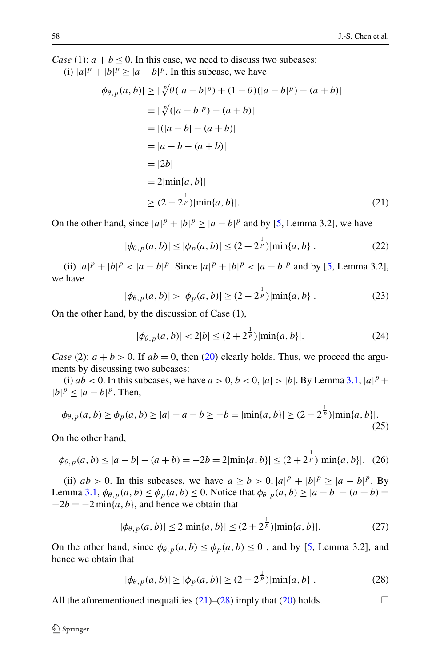<span id="page-9-0"></span>*Case* (1):  $a + b < 0$ . In this case, we need to discuss two subcases:

(i)  $|a|^p + |b|^p \ge |a-b|^p$ . In this subcase, we have

$$
|\phi_{\theta, p}(a, b)| \ge |\sqrt[p]{\theta(|a - b|^p) + (1 - \theta)(|a - b|^p)} - (a + b)|
$$
  
\n
$$
= |\sqrt[p]{(|a - b|^p) - (a + b)}|
$$
  
\n
$$
= |(|a - b| - (a + b)|)
$$
  
\n
$$
= |2b|
$$
  
\n
$$
= 2|\min\{a, b\}|
$$
  
\n
$$
\ge (2 - 2^{\frac{1}{p}})|\min\{a, b\}|.
$$
  
\n(21)

On the other hand, since  $|a|^p + |b|^p \ge |a - b|^p$  and by [\[5](#page-23-14), Lemma 3.2], we have

$$
|\phi_{\theta, p}(a, b)| \le |\phi_p(a, b)| \le (2 + 2^{\frac{1}{p}})|\min\{a, b\}|. \tag{22}
$$

(ii)  $|a|^p + |b|^p < |a - b|^p$ . Since  $|a|^p + |b|^p < |a - b|^p$  and by [[5,](#page-23-14) Lemma 3.2], we have

$$
|\phi_{\theta, p}(a, b)| > |\phi_p(a, b)| \ge (2 - 2^{\frac{1}{p}})|\min\{a, b\}|.
$$
 (23)

On the other hand, by the discussion of Case (1),

$$
|\phi_{\theta, p}(a, b)| < 2|b| \le (2 + 2^{\frac{1}{p}})|\min\{a, b\}|.\tag{24}
$$

*Case* (2):  $a + b > 0$ . If  $ab = 0$ , then ([20\)](#page-8-1) clearly holds. Thus, we proceed the arguments by discussing two subcases:

(i)  $ab < 0$ . In this subcases, we have  $a > 0$ ,  $b < 0$ ,  $|a| > |b|$ . By Lemma [3.1,](#page-4-2)  $|a|^p +$  $|b|^p \leq |a-b|^p$ . Then,

$$
\phi_{\theta, p}(a, b) \ge \phi_p(a, b) \ge |a| - a - b \ge -b = |\min\{a, b\}| \ge (2 - 2^{\frac{1}{p}})|\min\{a, b\}|. \tag{25}
$$

On the other hand,

$$
\phi_{\theta, p}(a, b) \le |a - b| - (a + b) = -2b = 2|\min\{a, b\}| \le (2 + 2^{\frac{1}{p}})|\min\{a, b\}|. \tag{26}
$$

<span id="page-9-1"></span>(ii)  $ab > 0$ . In this subcases, we have  $a \ge b > 0$ ,  $|a|^p + |b|^p \ge |a - b|^p$ . By Lemma [3.1](#page-4-2),  $φ_{\theta,p}(a,b) ≤ φ_p(a,b) ≤ 0$ . Notice that  $φ_{\theta,p}(a,b) ≥ |a-b| − (a+b) =$  $-2b = -2 \min\{a, b\}$ , and hence we obtain that

$$
|\phi_{\theta, p}(a, b)| \le 2|\min\{a, b\}| \le (2 + 2^{\frac{1}{p}})|\min\{a, b\}|. \tag{27}
$$

On the other hand, since  $\phi_{\theta,p}(a,b) \leq \phi_p(a,b) \leq 0$ , and by [\[5](#page-23-14), Lemma 3.2], and hence we obtain that

$$
|\phi_{\theta,p}(a,b)| \ge |\phi_p(a,b)| \ge (2 - 2^{\frac{1}{p}})|\min\{a,b\}|. \tag{28}
$$

All the aforementioned inequalities  $(21)$  $(21)$ – $(28)$  $(28)$  imply that  $(20)$  $(20)$  holds.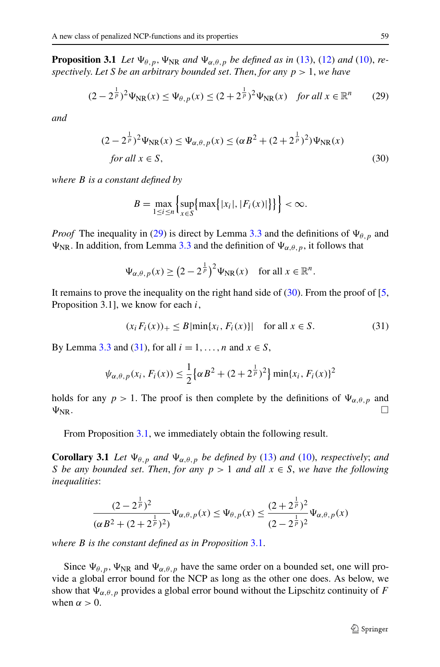<span id="page-10-3"></span><span id="page-10-1"></span><span id="page-10-0"></span>**Proposition 3.1** *Let*  $\Psi_{\theta,p}$ ,  $\Psi_{NR}$  *and*  $\Psi_{\alpha,\theta,p}$  *be defined as in* [\(13](#page-3-1)), [\(12](#page-3-2)) *and* ([10\)](#page-2-1), *respectively*. *Let S be an arbitrary bounded set*. *Then*, *for any p >* 1, *we have*

$$
(2 - 2^{\frac{1}{p}})^2 \Psi_{\rm NR}(x) \le \Psi_{\theta, p}(x) \le (2 + 2^{\frac{1}{p}})^2 \Psi_{\rm NR}(x) \quad \text{for all } x \in \mathbb{R}^n \tag{29}
$$

*and*

$$
(2 - 2^{\frac{1}{p}})^2 \Psi_{\text{NR}}(x) \le \Psi_{\alpha,\theta,p}(x) \le (\alpha B^2 + (2 + 2^{\frac{1}{p}})^2) \Psi_{\text{NR}}(x)
$$
  
for all  $x \in S$ , (30)

*where B is a constant defined by*

$$
B = \max_{1 \leq i \leq n} \left\{ \sup_{x \in S} \{ \max\{|x_i|, |F_i(x)|\} \} \right\} < \infty.
$$

<span id="page-10-2"></span>*Proof* The inequality in [\(29](#page-10-0)) is direct by Lemma [3.3](#page-8-2) and the definitions of  $\Psi_{\theta, p}$  and  $\Psi_{NR}$ . In addition, from Lemma [3.3](#page-8-2) and the definition of  $\Psi_{\alpha,\theta,p}$ , it follows that

$$
\Psi_{\alpha,\theta,p}(x) \ge (2 - 2^{\frac{1}{p}})^2 \Psi_{\rm NR}(x) \quad \text{for all } x \in \mathbb{R}^n.
$$

It remains to prove the inequality on the right hand side of  $(30)$  $(30)$ . From the proof of [\[5](#page-23-14), Proposition 3.1], we know for each *i*,

$$
(x_i F_i(x))_+ \le B \left| \min\{x_i, F_i(x)\} \right| \quad \text{for all } x \in S. \tag{31}
$$

<span id="page-10-4"></span>By Lemma [3.3](#page-8-2) and ([31\)](#page-10-2), for all  $i = 1, \ldots, n$  and  $x \in S$ ,

$$
\psi_{\alpha,\theta,p}(x_i, F_i(x)) \leq \frac{1}{2} \left\{ \alpha B^2 + (2 + 2^{\frac{1}{p}})^2 \right\} \min\{x_i, F_i(x)\}^2
$$

holds for any  $p > 1$ . The proof is then complete by the definitions of  $\Psi_{\alpha,\theta,p}$  and  $\Psi_{\text{NR}}$ .

From Proposition [3.1,](#page-10-3) we immediately obtain the following result.

**Corollary 3.1** *Let*  $\Psi_{\theta,p}$  *and*  $\Psi_{\alpha,\theta,p}$  *be defined by* ([13\)](#page-3-1) *and* [\(10](#page-2-1)), *respectively*; *and S be any bounded set. Then, for any*  $p > 1$  *and all*  $x \in S$ *, we have the following inequalities*:

$$
\frac{(2-2^{\frac{1}{p}})^2}{(\alpha B^2 + (2+2^{\frac{1}{p}})^2)} \Psi_{\alpha,\theta,p}(x) \le \Psi_{\theta,p}(x) \le \frac{(2+2^{\frac{1}{p}})^2}{(2-2^{\frac{1}{p}})^2} \Psi_{\alpha,\theta,p}(x)
$$

*where B is the constant defined as in Proposition* [3.1.](#page-10-3)

Since  $\Psi_{\theta,p}$ ,  $\Psi_{NR}$  and  $\Psi_{\alpha,\theta,p}$  have the same order on a bounded set, one will provide a global error bound for the NCP as long as the other one does. As below, we show that  $\Psi_{\alpha,\theta,p}$  provides a global error bound without the Lipschitz continuity of *F* when  $\alpha > 0$ .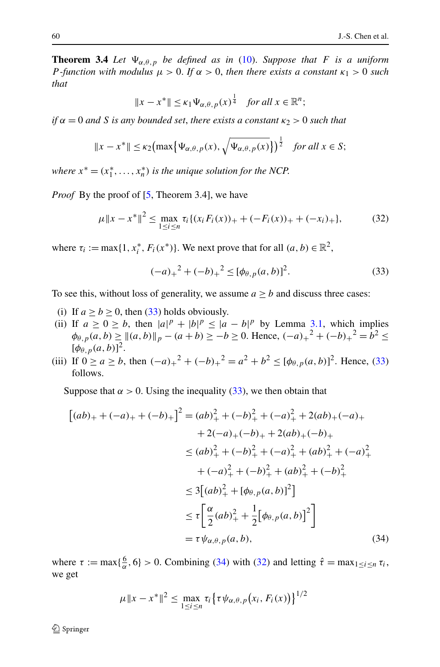**Theorem 3.4** *Let*  $\Psi_{\alpha,\theta,p}$  *be defined as in* ([10\)](#page-2-1). *Suppose that F is a uniform P -function with modulus*  $\mu > 0$ *. If*  $\alpha > 0$ *, then there exists a constant*  $\kappa_1 > 0$  *such that*

$$
||x - x^*|| \le \kappa_1 \Psi_{\alpha, \theta, p}(x)^{\frac{1}{4}} \quad for all x \in \mathbb{R}^n;
$$

<span id="page-11-2"></span> $if \alpha = 0$  *and S is any bounded set, there exists a constant*  $\kappa_2 > 0$  *such that* 

$$
||x - x^*|| \le \kappa_2 \bigl( \max \bigl\{ \Psi_{\alpha,\theta,p}(x), \sqrt{\Psi_{\alpha,\theta,p}(x)} \bigr\} \bigr)^{\frac{1}{2}} \quad \text{for all } x \in S;
$$

<span id="page-11-0"></span>*where*  $x^* = (x_1^*, \ldots, x_n^*)$  *is the unique solution for the NCP.* 

*Proof* By the proof of [[5,](#page-23-14) Theorem 3.4], we have

$$
\mu \|x - x^*\|^2 \le \max_{1 \le i \le n} \tau_i \{ (x_i F_i(x))_+ + (-F_i(x))_+ + (-x_i)_+ \},\tag{32}
$$

where  $\tau_i := \max\{1, x_i^*, F_i(x^*)\}$ . We next prove that for all  $(a, b) \in \mathbb{R}^2$ ,

$$
(-a)_+^2 + (-b)_+^2 \le [\phi_{\theta, p}(a, b)]^2. \tag{33}
$$

To see this, without loss of generality, we assume  $a \ge b$  and discuss three cases:

- (i) If  $a \ge b \ge 0$ , then ([33\)](#page-11-0) holds obviously.
- <span id="page-11-1"></span>(ii) If  $a \ge 0 \ge b$ , then  $|a|^p + |b|^p \le |a - b|^p$  by Lemma [3.1,](#page-4-2) which implies  $\phi_{\theta, p}(a, b) \ge ||(a, b)||_p - (a + b) \ge -b \ge 0$ . Hence,  $(-a)_+^2 + (-b)_+^2 = b^2 \le$  $[\phi_{\theta, p}(a, b)]^2$ .
- (iii) If  $0 \ge a \ge b$ , then  $(-a)_+^2 + (-b)_+^2 = a^2 + b^2 \le [\phi_{\theta, p}(a, b)]^2$ . Hence, [\(33](#page-11-0)) follows.

Suppose that  $\alpha > 0$ . Using the inequality [\(33](#page-11-0)), we then obtain that

$$
[(ab)_{+} + (-a)_{+} + (-b)_{+}]^{2} = (ab)_{+}^{2} + (-b)_{+}^{2} + (-a)_{+}^{2} + 2(ab)_{+}(-a)_{+}
$$
  
+ 2(-a)\_{+}(-b)\_{+} + 2(ab)\_{+}(-b)\_{+}  

$$
\leq (ab)_{+}^{2} + (-b)_{+}^{2} + (-a)_{+}^{2} + (ab)_{+}^{2} + (-a)_{+}^{2}
$$
  
+ (-a)\_{+}^{2} + (-b)\_{+}^{2} + (ab)\_{+}^{2} + (-b)\_{+}^{2}  

$$
\leq 3[(ab)_{+}^{2} + [\phi_{\theta, p}(a, b)]^{2}]
$$
  

$$
\leq \tau \left[ \frac{\alpha}{2} (ab)_{+}^{2} + \frac{1}{2} [\phi_{\theta, p}(a, b)]^{2} \right]
$$
  
=  $\tau \psi_{\alpha, \theta, p}(a, b),$  (34)

where  $\tau := \max\{\frac{6}{\alpha}, 6\} > 0$ . Combining ([34\)](#page-11-1) with ([32](#page-11-2)) and letting  $\hat{\tau} = \max_{1 \le i \le n} \tau_i$ , we get

$$
\mu \|x - x^*\|^2 \le \max_{1 \le i \le n} \tau_i \big\{ \tau \psi_{\alpha, \theta, p}(x_i, F_i(x)) \big\}^{1/2}
$$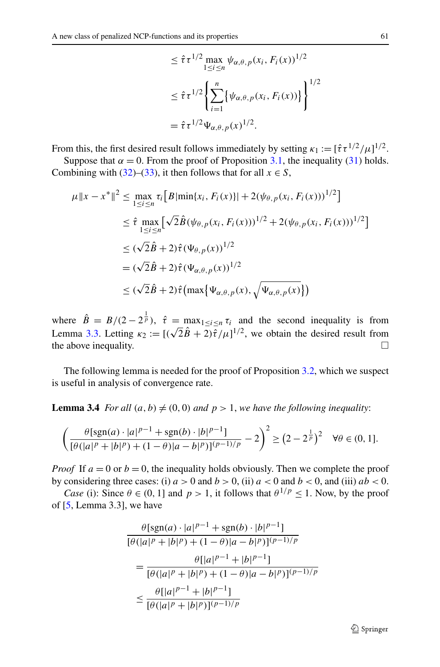$$
\leq \hat{\tau} \tau^{1/2} \max_{1 \leq i \leq n} \psi_{\alpha,\theta,p}(x_i, F_i(x))^{1/2}
$$
  

$$
\leq \hat{\tau} \tau^{1/2} \left\{ \sum_{i=1}^n \left\{ \psi_{\alpha,\theta,p}(x_i, F_i(x)) \right\} \right\}^{1/2}
$$
  

$$
= \hat{\tau} \tau^{1/2} \Psi_{\alpha,\theta,p}(x)^{1/2}.
$$

From this, the first desired result follows immediately by setting  $\kappa_1 := [\hat{\tau} \tau^{1/2}/\mu]^{1/2}$ .

Suppose that  $\alpha = 0$ . From the proof of Proposition [3.1](#page-10-3), the inequality [\(31](#page-10-2)) holds. Combining with ([32\)](#page-11-2)–[\(33](#page-11-0)), it then follows that for all  $x \in S$ ,

$$
\mu \|x - x^*\|^2 \le \max_{1 \le i \le n} \tau_i \Big[ B |\min\{x_i, F_i(x)\}| + 2(\psi_{\theta, p}(x_i, F_i(x)))^{1/2} \Big] \n\le \hat{\tau} \max_{1 \le i \le n} \Big[ \sqrt{2} \hat{B} (\psi_{\theta, p}(x_i, F_i(x)))^{1/2} + 2(\psi_{\theta, p}(x_i, F_i(x)))^{1/2} \Big] \n\le (\sqrt{2} \hat{B} + 2) \hat{\tau} (\Psi_{\theta, p}(x))^{1/2} \n= (\sqrt{2} \hat{B} + 2) \hat{\tau} (\Psi_{\alpha, \theta, p}(x))^{1/2} \n\le (\sqrt{2} \hat{B} + 2) \hat{\tau} \Big( \max \{ \Psi_{\alpha, \theta, p}(x), \sqrt{\Psi_{\alpha, \theta, p}(x)} \} \Big)
$$

<span id="page-12-0"></span>where  $\hat{B} = B/(2 - 2^{\frac{1}{p}})$ ,  $\hat{\tau} = \max_{1 \leq i \leq n} \tau_i$  and the second inequality is from Lemma [3.3](#page-8-2). Letting  $\kappa_2 := [(\sqrt{2}\hat{B} + 2)\hat{\tau}/\mu]^{1/2}$ , we obtain the desired result from the above inequality.  $\Box$ 

The following lemma is needed for the proof of Proposition [3.2](#page-13-0), which we suspect is useful in analysis of convergence rate.

**Lemma 3.4** *For all*  $(a, b) \neq (0, 0)$  *and*  $p > 1$ *, we have the following inequality:* 

$$
\left(\frac{\theta[\text{sgn}(a) \cdot |a|^{p-1} + \text{sgn}(b) \cdot |b|^{p-1}]}{[\theta(|a|^p + |b|^p) + (1 - \theta)|a - b|^p)]^{(p-1)/p}} - 2\right)^2 \ge (2 - 2^{\frac{1}{p}})^2 \quad \forall \theta \in (0, 1].
$$

*Proof* If  $a = 0$  or  $b = 0$ , the inequality holds obviously. Then we complete the proof by considering three cases: (i)  $a > 0$  and  $b > 0$ , (ii)  $a < 0$  and  $b < 0$ , and (iii)  $ab < 0$ .

*Case* (i): Since  $\theta \in (0, 1]$  and  $p > 1$ , it follows that  $\theta^{1/p} \leq 1$ . Now, by the proof of [[5,](#page-23-14) Lemma 3.3], we have

$$
\frac{\theta[\text{sgn}(a) \cdot |a|^{p-1} + \text{sgn}(b) \cdot |b|^{p-1}]}{[\theta(|a|^p + |b|^p) + (1 - \theta)|a - b|^p)]^{(p-1)/p}}
$$
\n
$$
= \frac{\theta[|a|^{p-1} + |b|^{p-1}]}{[\theta(|a|^p + |b|^p) + (1 - \theta)|a - b|^p)]^{(p-1)/p}}
$$
\n
$$
\leq \frac{\theta[|a|^{p-1} + |b|^{p-1}]}{[\theta(|a|^p + |b|^p)]^{(p-1)/p}}
$$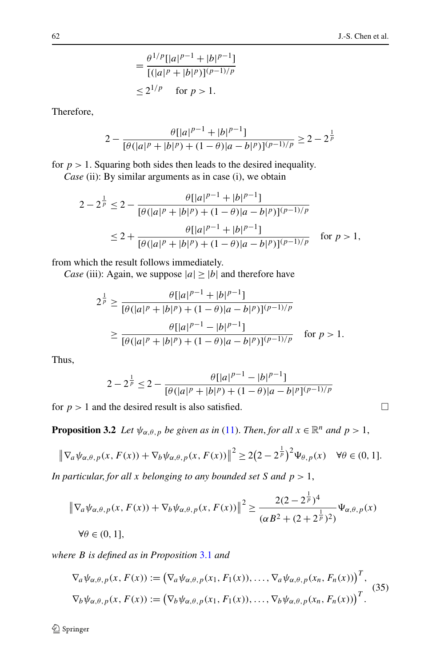$$
= \frac{\theta^{1/p} [ |a|^{p-1} + |b|^{p-1}]}{ [(|a|^p + |b|^p)]^{(p-1)/p}}
$$
  
\n
$$
\leq 2^{1/p} \quad \text{for } p > 1.
$$

Therefore,

$$
2 - \frac{\theta[|a|^{p-1} + |b|^{p-1}]}{[\theta(|a|^p + |b|^p) + (1 - \theta)|a - b|^p)]^{(p-1)/p}} \ge 2 - 2^{\frac{1}{p}}
$$

for  $p > 1$ . Squaring both sides then leads to the desired inequality.

*Case* (ii): By similar arguments as in case (i), we obtain

$$
2 - 2^{\frac{1}{p}} \le 2 - \frac{\theta[|a|^{p-1} + |b|^{p-1}]}{[\theta(|a|^p + |b|^p) + (1 - \theta)|a - b|^p)]^{(p-1)/p}}
$$
  

$$
\le 2 + \frac{\theta[|a|^{p-1} + |b|^{p-1}]}{[\theta(|a|^p + |b|^p) + (1 - \theta)|a - b|^p)]^{(p-1)/p}} \quad \text{for } p > 1,
$$

from which the result follows immediately.

*Case* (iii): Again, we suppose  $|a| \ge |b|$  and therefore have

$$
2^{\frac{1}{p}} \ge \frac{\theta[|a|^{p-1} + |b|^{p-1}]}{[\theta(|a|^p + |b|^p) + (1 - \theta)|a - b|^p]^{(p-1)/p}}
$$

$$
\ge \frac{\theta[|a|^{p-1} - |b|^{p-1}]}{[\theta(|a|^p + |b|^p) + (1 - \theta)|a - b|^p]^{(p-1)/p}} \quad \text{for } p > 1.
$$

<span id="page-13-0"></span>Thus,

$$
2 - 2^{\frac{1}{p}} \le 2 - \frac{\theta[|a|^{p-1} - |b|^{p-1}]}{[\theta(|a|^p + |b|^p) + (1 - \theta)|a - b|^p]^{(p-1)/p}}
$$

for  $p > 1$  and the desired result is also satisfied.

**Proposition 3.2** *Let*  $\psi_{\alpha,\theta,p}$  *be given as in* ([11\)](#page-2-0). *Then, for all*  $x \in \mathbb{R}^n$  *and*  $p > 1$ *,* 

$$
\left\|\nabla_a\psi_{\alpha,\theta,p}(x,F(x))+\nabla_b\psi_{\alpha,\theta,p}(x,F(x))\right\|^2\geq 2\left(2-2^{\frac{1}{p}}\right)^2\Psi_{\theta,p}(x)\quad\forall\theta\in(0,1].
$$

*In particular*, *for all x belonging to any bounded set S and p >* 1,

$$
\|\nabla_a \psi_{\alpha,\theta,p}(x, F(x)) + \nabla_b \psi_{\alpha,\theta,p}(x, F(x))\|^2 \ge \frac{2(2 - 2^{\frac{1}{p}})^4}{(\alpha B^2 + (2 + 2^{\frac{1}{p}})^2)} \Psi_{\alpha,\theta,p}(x)
$$
  

$$
\forall \theta \in (0, 1].
$$

*where B is defined as in Proposition* [3.1](#page-10-3) *and*

$$
\nabla_a \psi_{\alpha,\theta,p}(x, F(x)) := (\nabla_a \psi_{\alpha,\theta,p}(x_1, F_1(x)), \dots, \nabla_a \psi_{\alpha,\theta,p}(x_n, F_n(x)))^T,
$$
  
\n
$$
\nabla_b \psi_{\alpha,\theta,p}(x, F(x)) := (\nabla_b \psi_{\alpha,\theta,p}(x_1, F_1(x)), \dots, \nabla_b \psi_{\alpha,\theta,p}(x_n, F_n(x)))^T.
$$
 (35)

$$
\sqcup
$$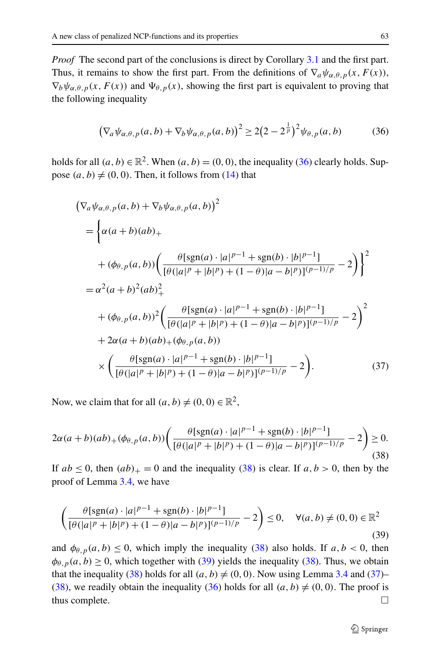<span id="page-14-0"></span>*Proof* The second part of the conclusions is direct by Corollary [3.1](#page-10-4) and the first part. Thus, it remains to show the first part. From the definitions of  $\nabla_a \psi_{\alpha,\theta,p}(x, F(x))$ ,  $\nabla_b \psi_{\alpha,\theta,p}(x,F(x))$  and  $\Psi_{\theta,p}(x)$ , showing the first part is equivalent to proving that the following inequality

$$
\left(\nabla_a \psi_{\alpha,\theta,p}(a,b) + \nabla_b \psi_{\alpha,\theta,p}(a,b)\right)^2 \ge 2\left(2 - 2^{\frac{1}{p}}\right)^2 \psi_{\theta,p}(a,b) \tag{36}
$$

<span id="page-14-3"></span>holds for all  $(a, b) \in \mathbb{R}^2$ . When  $(a, b) = (0, 0)$ , the inequality ([36\)](#page-14-0) clearly holds. Suppose  $(a, b) \neq (0, 0)$ . Then, it follows from [\(14](#page-4-3)) that

$$
(\nabla_a \psi_{\alpha,\theta,p}(a,b) + \nabla_b \psi_{\alpha,\theta,p}(a,b))^2
$$
  
=  $\left\{ \alpha(a+b)(ab)_{+} \right\}$   
+  $(\phi_{\theta,p}(a,b)) \left( \frac{\theta[\text{sgn}(a) \cdot |a|^{p-1} + \text{sgn}(b) \cdot |b|^{p-1}] }{[\theta(|a|^p + |b|^p) + (1-\theta)|a - b|^p][p-1]/p} - 2 \right) \right\}^2$   
=  $\alpha^2(a+b)^2(ab)_+^2$   
+  $(\phi_{\theta,p}(a,b))^2 \left( \frac{\theta[\text{sgn}(a) \cdot |a|^{p-1} + \text{sgn}(b) \cdot |b|^{p-1}]}{[\theta(|a|^p + |b|^p) + (1-\theta)|a - b|^p][p-1]/p} - 2 \right)^2$   
+  $2\alpha(a+b)(ab)_{+}(\phi_{\theta,p}(a,b))$   
×  $\left( \frac{\theta[\text{sgn}(a) \cdot |a|^{p-1} + \text{sgn}(b) \cdot |b|^{p-1}]}{[\theta(|a|^p + |b|^p) + (1-\theta)|a - b|^p][p-1]/p} - 2 \right).$  (37)

<span id="page-14-1"></span>Now, we claim that for all  $(a, b) \neq (0, 0) \in \mathbb{R}^2$ ,

<span id="page-14-2"></span>
$$
2\alpha(a+b)(ab)_{+}(\phi_{\theta,p}(a,b))\left(\frac{\theta[\text{sgn}(a)\cdot|a|^{p-1}+\text{sgn}(b)\cdot|b|^{p-1}]}{[\theta(|a|^p+|b|^p)+(1-\theta)|a-b|^p)]^{(p-1)/p}}-2\right)\geq 0.
$$
\n(38)

If  $ab \le 0$ , then  $(ab)_+ = 0$  and the inequality [\(38](#page-14-1)) is clear. If  $a, b > 0$ , then by the proof of Lemma [3.4](#page-12-0), we have

$$
\left(\frac{\theta[\text{sgn}(a) \cdot |a|^{p-1} + \text{sgn}(b) \cdot |b|^{p-1}]}{[\theta(|a|^p + |b|^p) + (1 - \theta)|a - b|^p)]^{(p-1)/p}} - 2\right) \le 0, \quad \forall (a, b) \ne (0, 0) \in \mathbb{R}^2
$$
\n(39)

and  $\phi_{\theta,p}(a,b) \le 0$ , which imply the inequality ([38\)](#page-14-1) also holds. If  $a, b < 0$ , then  $\phi_{\theta,p}(a,b) \ge 0$ , which together with [\(39](#page-14-2)) yields the inequality [\(38](#page-14-1)). Thus, we obtain that the inequality [\(38](#page-14-1)) holds for all  $(a, b) \neq (0, 0)$ . Now using Lemma [3.4](#page-12-0) and [\(37](#page-14-3))– [\(38](#page-14-1)), we readily obtain the inequality ([36\)](#page-14-0) holds for all  $(a, b) \neq (0, 0)$ . The proof is thus complete.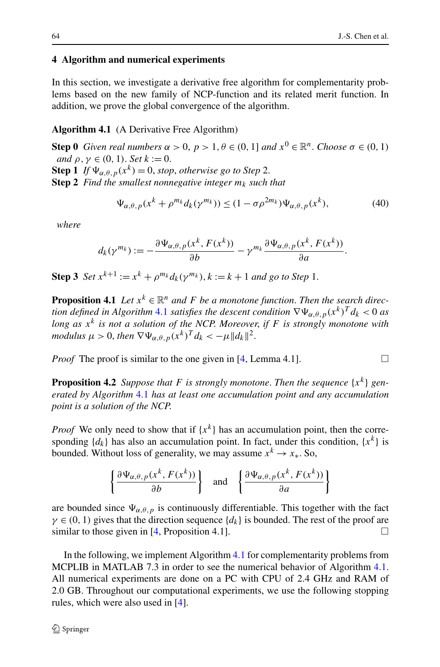#### <span id="page-15-1"></span><span id="page-15-0"></span>**4 Algorithm and numerical experiments**

In this section, we investigate a derivative free algorithm for complementarity problems based on the new family of NCP-function and its related merit function. In addition, we prove the global convergence of the algorithm.

### **Algorithm 4.1** (A Derivative Free Algorithm)

**Step 0** *Given real numbers*  $\alpha > 0$ ,  $p > 1$ ,  $\theta \in (0, 1]$  *and*  $x^0 \in \mathbb{R}^n$ . *Choose*  $\sigma \in (0, 1)$ *and*  $\rho, \gamma \in (0, 1)$ . *Set*  $k := 0$ .

**Step 1** *If*  $\Psi_{\alpha,\theta,p}(x^k) = 0$ , *stop*, *otherwise go to Step* 2.

**Step 2** *Find the smallest nonnegative integer*  $m_k$  *such that* 

$$
\Psi_{\alpha,\theta,p}(x^k + \rho^{m_k} d_k(\gamma^{m_k})) \le (1 - \sigma \rho^{2m_k}) \Psi_{\alpha,\theta,p}(x^k),\tag{40}
$$

*where*

$$
d_k(\gamma^{m_k}) := -\frac{\partial \Psi_{\alpha,\theta,p}(x^k, F(x^k))}{\partial b} - \gamma^{m_k} \frac{\partial \Psi_{\alpha,\theta,p}(x^k, F(x^k))}{\partial a}.
$$

**Step 3** *Set*  $x^{k+1} := x^k + \rho^{m_k} d_k(\gamma^{m_k}), k := k+1$  *and go to Step* 1.

**Proposition 4.1** *Let*  $x^k \in \mathbb{R}^n$  *and F be a monotone function. Then the search direction defined in Algorithm* [4.1](#page-15-1) *satisfies the descent condition*  $\nabla \Psi_{\alpha,\theta,p}(x^k)^T d_k < 0$  *as long as x<sup>k</sup> is not a solution of the NCP*. *Moreover*, *if F is strongly monotone with modulus*  $\mu > 0$ , then  $\nabla \Psi_{\alpha,\theta,p}(x^k)^T d_k < -\mu \|d_k\|^2$ .

*Proof* The proof is similar to the one given in  $[4, \text{Lemma } 4.1]$  $[4, \text{Lemma } 4.1]$  $[4, \text{Lemma } 4.1]$ .

**Proposition 4.2** *Suppose that F is strongly monotone. Then the sequence*  $\{x^k\}$  *generated by Algorithm* [4.1](#page-15-1) *has at least one accumulation point and any accumulation point is a solution of the NCP*.

*Proof* We only need to show that if  $\{x^k\}$  has an accumulation point, then the corresponding  $\{d_k\}$  has also an accumulation point. In fact, under this condition,  $\{x^k\}$  is bounded. Without loss of generality, we may assume  $x^k \to x_*$ . So,

$$
\left\{\frac{\partial \Psi_{\alpha,\theta,p}(x^k, F(x^k))}{\partial b}\right\} \text{ and } \left\{\frac{\partial \Psi_{\alpha,\theta,p}(x^k, F(x^k))}{\partial a}\right\}
$$

are bounded since  $\Psi_{\alpha,\theta,p}$  is continuously differentiable. This together with the fact  $\gamma \in (0, 1)$  gives that the direction sequence  $\{d_k\}$  is bounded. The rest of the proof are similar to those given in [[4,](#page-23-3) Proposition 4.1].  $\Box$ 

In the following, we implement Algorithm [4.1](#page-15-1) for complementarity problems from MCPLIB in MATLAB 7.3 in order to see the numerical behavior of Algorithm [4.1](#page-15-1). All numerical experiments are done on a PC with CPU of 2.4 GHz and RAM of 2.0 GB. Throughout our computational experiments, we use the following stopping rules, which were also used in [[4\]](#page-23-3).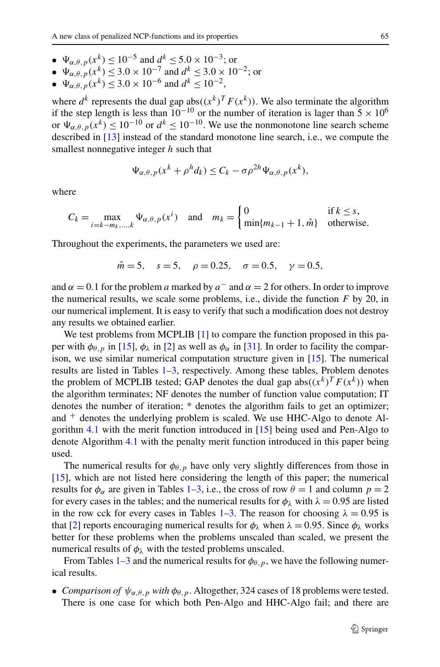- $\Psi_{\alpha,\theta,\eta}(x^k) \le 10^{-5}$  and  $d^k \le 5.0 \times 10^{-3}$ ; or
- $\Psi_{\alpha,\theta,p}(x^k) \leq 3.0 \times 10^{-7}$  and  $d^k \leq 3.0 \times 10^{-2}$ ; or
- $\Psi_{\alpha,\theta,p}^{(1)}(x^k) \leq 3.0 \times 10^{-6}$  and  $d^k \leq 10^{-2}$ ,

where  $d^k$  represents the dual gap abs $((x^k)^T F(x^k))$ . We also terminate the algorithm if the step length is less than  $10^{-10}$  or the number of iteration is lager than  $5 \times 10^6$ or  $\Psi_{\alpha,\theta,p}(x^k) \le 10^{-10}$  or  $d^k \le 10^{-10}$ . We use the nonmonotone line search scheme described in [[13\]](#page-23-15) instead of the standard monotone line search, i.e., we compute the smallest nonnegative integer *h* such that

$$
\Psi_{\alpha,\theta,p}(x^k + \rho^h d_k) \le C_k - \sigma \rho^{2h} \Psi_{\alpha,\theta,p}(x^k),
$$

where

$$
C_k = \max_{i=k-m_k,\dots,k} \Psi_{\alpha,\theta,p}(x^i) \quad \text{and} \quad m_k = \begin{cases} 0 & \text{if } k \le s, \\ \min\{m_{k-1}+1, \hat{m}\} & \text{otherwise.} \end{cases}
$$

Throughout the experiments, the parameters we used are:

$$
\hat{m} = 5
$$
,  $s = 5$ ,  $\rho = 0.25$ ,  $\sigma = 0.5$ ,  $\gamma = 0.5$ ,

and  $\alpha = 0.1$  for the problem *a* marked by  $a^-$  and  $\alpha = 2$  for others. In order to improve the numerical results, we scale some problems, i.e., divide the function *F* by 20, in our numerical implement. It is easy to verify that such a modification does not destroy any results we obtained earlier.

We test problems from MCPLIB [[1\]](#page-23-16) to compare the function proposed in this paper with  $\phi_{\theta, p}$  in [[15\]](#page-23-12),  $\phi_{\lambda}$  in [[2\]](#page-23-11) as well as  $\phi_{\alpha}$  in [[31\]](#page-24-11). In order to facility the comparison, we use similar numerical computation structure given in [[15\]](#page-23-12). The numerical results are listed in Tables [1](#page-18-0)[–3](#page-20-0), respectively. Among these tables, Problem denotes the problem of MCPLIB tested; GAP denotes the dual gap  $\mathrm{abs}((x^k)^T F(x^k))$  when the algorithm terminates; NF denotes the number of function value computation; IT denotes the number of iteration; \* denotes the algorithm fails to get an optimizer; and  $<sup>+</sup>$  denotes the underlying problem is scaled. We use HHC-Algo to denote Al-</sup> gorithm [4.1](#page-15-1) with the merit function introduced in [[15\]](#page-23-12) being used and Pen-Algo to denote Algorithm [4.1](#page-15-1) with the penalty merit function introduced in this paper being used.

The numerical results for  $\phi_{\theta, p}$  have only very slightly differences from those in [\[15](#page-23-12)], which are not listed here considering the length of this paper; the numerical results for  $\phi_{\alpha}$  are given in Tables [1](#page-18-0)[–3](#page-20-0), i.e., the cross of row  $\theta = 1$  and column  $p = 2$ for every cases in the tables; and the numerical results for  $\phi_{\lambda}$  with  $\lambda = 0.95$  are listed in the row cck for every cases in Tables  $1-3$ . The reason for choosing  $\lambda = 0.95$  is that [\[2](#page-23-11)] reports encouraging numerical results for  $\phi_{\lambda}$  when  $\lambda = 0.95$ . Since  $\phi_{\lambda}$  works better for these problems when the problems unscaled than scaled, we present the numerical results of  $\phi_{\lambda}$  with the tested problems unscaled.

From Tables [1–](#page-18-0)[3](#page-20-0) and the numerical results for  $\phi_{\theta, p}$ , we have the following numerical results.

• *Comparison of*  $\psi_{\alpha,\theta,p}$  *with*  $\phi_{\theta,p}$ . Altogether, 324 cases of 18 problems were tested. There is one case for which both Pen-Algo and HHC-Algo fail; and there are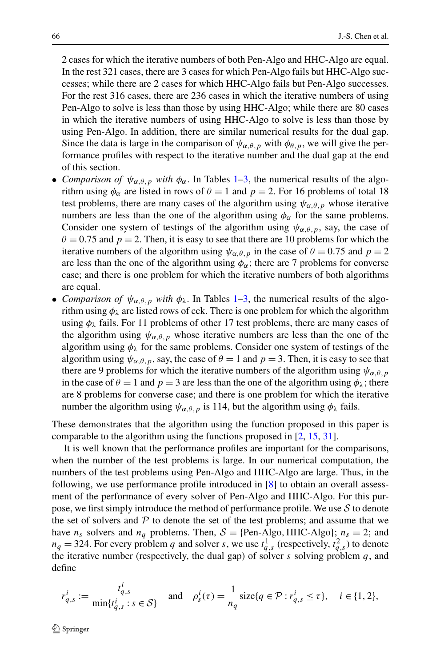2 cases for which the iterative numbers of both Pen-Algo and HHC-Algo are equal. In the rest 321 cases, there are 3 cases for which Pen-Algo fails but HHC-Algo successes; while there are 2 cases for which HHC-Algo fails but Pen-Algo successes. For the rest 316 cases, there are 236 cases in which the iterative numbers of using Pen-Algo to solve is less than those by using HHC-Algo; while there are 80 cases in which the iterative numbers of using HHC-Algo to solve is less than those by using Pen-Algo. In addition, there are similar numerical results for the dual gap. Since the data is large in the comparison of  $\psi_{\alpha,\theta,p}$  with  $\phi_{\theta,p}$ , we will give the performance profiles with respect to the iterative number and the dual gap at the end of this section.

- *Comparison of*  $\psi_{\alpha,\theta,p}$  *with*  $\phi_{\alpha}$ . In Tables [1](#page-18-0)[–3](#page-20-0), the numerical results of the algorithm using  $\phi_{\alpha}$  are listed in rows of  $\theta = 1$  and  $p = 2$ . For 16 problems of total 18 test problems, there are many cases of the algorithm using  $\psi_{\alpha,\theta,p}$  whose iterative numbers are less than the one of the algorithm using  $\phi_\alpha$  for the same problems. Consider one system of testings of the algorithm using  $\psi_{\alpha,\theta,p}$ , say, the case of  $\theta$  = 0.75 and  $p$  = 2. Then, it is easy to see that there are 10 problems for which the iterative numbers of the algorithm using  $\psi_{\alpha,\theta,p}$  in the case of  $\theta = 0.75$  and  $p = 2$ are less than the one of the algorithm using  $\phi_{\alpha}$ ; there are 7 problems for converse case; and there is one problem for which the iterative numbers of both algorithms are equal.
- *Comparison of*  $\psi_{\alpha,\theta,p}$  *with*  $\phi_{\lambda}$ . In Tables [1–](#page-18-0)[3,](#page-20-0) the numerical results of the algorithm using  $\phi_{\lambda}$  are listed rows of cck. There is one problem for which the algorithm using  $\phi_{\lambda}$  fails. For 11 problems of other 17 test problems, there are many cases of the algorithm using  $\psi_{\alpha,\theta,p}$  whose iterative numbers are less than the one of the algorithm using  $\phi_{\lambda}$  for the same problems. Consider one system of testings of the algorithm using  $\psi_{\alpha,\theta,p}$ , say, the case of  $\theta = 1$  and  $p = 3$ . Then, it is easy to see that there are 9 problems for which the iterative numbers of the algorithm using  $\psi_{\alpha,\theta,p}$ in the case of  $\theta = 1$  and  $p = 3$  are less than the one of the algorithm using  $\phi_{\lambda}$ ; there are 8 problems for converse case; and there is one problem for which the iterative number the algorithm using  $\psi_{\alpha,\theta,p}$  is 114, but the algorithm using  $\phi_{\lambda}$  fails.

These demonstrates that the algorithm using the function proposed in this paper is comparable to the algorithm using the functions proposed in [[2,](#page-23-11) [15,](#page-23-12) [31\]](#page-24-11).

It is well known that the performance profiles are important for the comparisons, when the number of the test problems is large. In our numerical computation, the numbers of the test problems using Pen-Algo and HHC-Algo are large. Thus, in the following, we use performance profile introduced in [\[8](#page-23-17)] to obtain an overall assessment of the performance of every solver of Pen-Algo and HHC-Algo. For this purpose, we first simply introduce the method of performance profile. We use  $S$  to denote the set of solvers and  $P$  to denote the set of the test problems; and assume that we have  $n_s$  solvers and  $n_q$  problems. Then,  $S = \{Pen-Algo, HHC-Algo\}; n_s = 2$ ; and  $n_q = 324$ . For every problem *q* and solver *s*, we use  $t_{q,s}$  (respectively,  $t_{q,s}$ ) to denote the iterative number (respectively, the dual gap) of solver *s* solving problem *q*, and define

$$
r_{q,s}^i := \frac{t_{q,s}^i}{\min\{t_{q,s}^i : s \in S\}} \quad \text{and} \quad \rho_s^i(\tau) = \frac{1}{n_q} \text{size}\{q \in \mathcal{P} : r_{q,s}^i \le \tau\}, \quad i \in \{1, 2\},
$$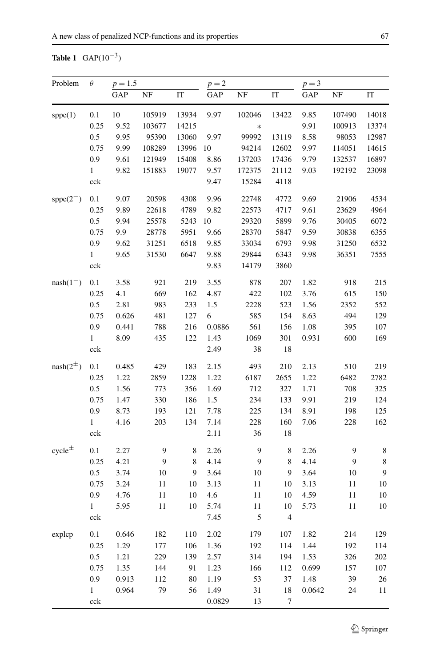# <span id="page-18-0"></span>**Table 1** GAP(10<sup>−</sup>3)

| Problem         | $\theta$     | $p = 1.5$ |        |        | $p=2$  |               |                |        | $p = 3$ |             |  |
|-----------------|--------------|-----------|--------|--------|--------|---------------|----------------|--------|---------|-------------|--|
|                 |              | GAP       | NF     | IT     | GAP    | NF            | IT             | GAP    | NF      | IT          |  |
| sppe(1)         | 0.1          | 10        | 105919 | 13934  | 9.97   | 102046        | 13422          | 9.85   | 107490  | 14018       |  |
|                 | 0.25         | 9.52      | 103677 | 14215  |        | $\ast$        |                | 9.91   | 100913  | 13374       |  |
|                 | 0.5          | 9.95      | 95390  | 13060  | 9.97   | 99992         | 13119          | 8.58   | 98053   | 12987       |  |
|                 | 0.75         | 9.99      | 108289 | 13996  | 10     | 94214         | 12602          | 9.97   | 114051  | 14615       |  |
|                 | 0.9          | 9.61      | 121949 | 15408  | 8.86   | 137203        | 17436          | 9.79   | 132537  | 16897       |  |
|                 | $\mathbf{1}$ | 9.82      | 151883 | 19077  | 9.57   | 172375        | 21112          | 9.03   | 192192  | 23098       |  |
|                 | cck          |           |        |        | 9.47   | 15284         | 4118           |        |         |             |  |
| $spec(2^{-})$   | 0.1          | 9.07      | 20598  | 4308   | 9.96   | 22748         | 4772           | 9.69   | 21906   | 4534        |  |
|                 | 0.25         | 9.89      | 22618  | 4789   | 9.82   | 22573         | 4717           | 9.61   | 23629   | 4964        |  |
|                 | 0.5          | 9.94      | 25578  | 5243   | 10     | 29320         | 5899           | 9.76   | 30405   | 6072        |  |
|                 | 0.75         | 9.9       | 28778  | 5951   | 9.66   | 28370         | 5847           | 9.59   | 30838   | 6355        |  |
|                 | 0.9          | 9.62      | 31251  | 6518   | 9.85   | 33034         | 6793           | 9.98   | 31250   | 6532        |  |
|                 | $\mathbf{1}$ | 9.65      | 31530  | 6647   | 9.88   | 29844         | 6343           | 9.98   | 36351   | 7555        |  |
|                 | cck          |           |        |        | 9.83   | 14179         | 3860           |        |         |             |  |
| $nash(1^-)$     | 0.1          | 3.58      | 921    | 219    | 3.55   | 878           | 207            | 1.82   | 918     | 215         |  |
|                 | 0.25         | 4.1       | 669    | 162    | 4.87   | 422           | 102            | 3.76   | 615     | 150         |  |
|                 | 0.5          | 2.81      | 983    | 233    | 1.5    | 2228          | 523            | 1.56   | 2352    | 552         |  |
|                 | 0.75         | 0.626     | 481    | 127    | 6      | 585           | 154            | 8.63   | 494     | 129         |  |
|                 | 0.9          | 0.441     | 788    | 216    | 0.0886 | 561           | 156            | 1.08   | 395     | 107         |  |
|                 | $\mathbf{1}$ | 8.09      | 435    | 122    | 1.43   | 1069          | 301            | 0.931  | 600     | 169         |  |
|                 | cck          |           |        |        | 2.49   | 38            | 18             |        |         |             |  |
| $nash(2^{\pm})$ | 0.1          | 0.485     | 429    | 183    | 2.15   | 493           | 210            | 2.13   | 510     | 219         |  |
|                 | 0.25         | 1.22      | 2859   | 1228   | 1.22   | 6187          | 2655           | 1.22   | 6482    | 2782        |  |
|                 | 0.5          | 1.56      | 773    | 356    | 1.69   | 712           | 327            | 1.71   | 708     | 325         |  |
|                 | 0.75         | 1.47      | 330    | 186    | 1.5    | 234           | 133            | 9.91   | 219     | 124         |  |
|                 | 0.9          | 8.73      | 193    | 121    | 7.78   | 225           | 134            | 8.91   | 198     | 125         |  |
|                 | $\mathbf{1}$ | 4.16      | 203    | 134    | 7.14   | 228           | 160            | 7.06   | 228     | 162         |  |
|                 | cck          |           |        |        | 2.11   | 36            | 18             |        |         |             |  |
| $cycle^{\pm}$   | 0.1          | 2.27      | 9      | 8      | 2.26   | $\mathbf{9}$  | 8              | 2.26   | 9       | $\,$ 8 $\,$ |  |
|                 | 0.25         | 4.21      | 9      | 8      | 4.14   | 9             | 8              | 4.14   | 9       | $\,8\,$     |  |
|                 | $0.5\,$      | 3.74      | 10     | 9      | 3.64   | 10            | 9              | 3.64   | 10      | 9           |  |
|                 | 0.75         | 3.24      | 11     | 10     | 3.13   | 11            | 10             | 3.13   | 11      | 10          |  |
|                 | 0.9          | 4.76      | 11     | 10     | 4.6    | 11            | 10             | 4.59   | 11      | $10\,$      |  |
|                 | $\mathbf{1}$ | 5.95      | 11     | 10     | 5.74   | $11\,$        | 10             | 5.73   | 11      | 10          |  |
|                 | cck          |           |        |        | 7.45   | $\mathfrak s$ | $\overline{4}$ |        |         |             |  |
| explcp          | 0.1          | 0.646     | 182    | 110    | 2.02   | 179           | 107            | 1.82   | 214     | 129         |  |
|                 | 0.25         | 1.29      | 177    | 106    | 1.36   | 192           | 114            | 1.44   | 192     | 114         |  |
|                 | $0.5\,$      | 1.21      | 229    | 139    | 2.57   | 314           | 194            | 1.53   | 326     | 202         |  |
|                 | 0.75         | 1.35      | 144    | 91     | 1.23   | 166           | 112            | 0.699  | 157     | 107         |  |
|                 | 0.9          | 0.913     | 112    | $80\,$ | 1.19   | 53            | 37             | 1.48   | 39      | 26          |  |
|                 | $\mathbf{1}$ | 0.964     | 79     | 56     | 1.49   | 31            | 18             | 0.0642 | 24      | 11          |  |
|                 | cck          |           |        |        | 0.0829 | 13            | 7              |        |         |             |  |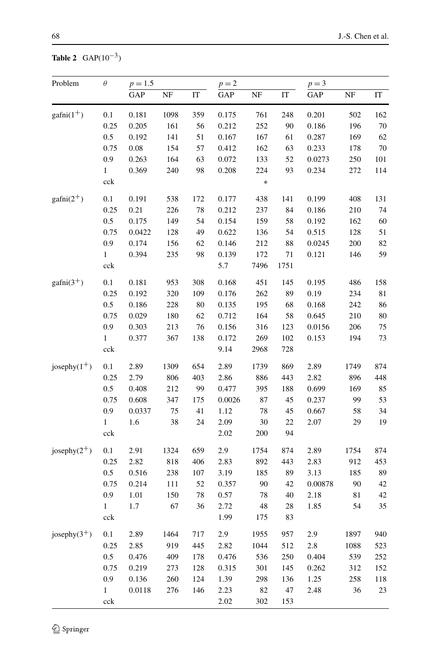# **Table 2** GAP(10<sup>−</sup>3)

| Problem             | $\theta$     | $p = 1.5$ |      |     | $p = 2$ |        |      | $p = 3$ |      |     |
|---------------------|--------------|-----------|------|-----|---------|--------|------|---------|------|-----|
|                     |              | GAP       | NF   | IT  | GAP     | NF     | IT   | GAP     | NF   | IT  |
| $\text{gafni}(1^+)$ | 0.1          | 0.181     | 1098 | 359 | 0.175   | 761    | 248  | 0.201   | 502  | 162 |
|                     | 0.25         | 0.205     | 161  | 56  | 0.212   | 252    | 90   | 0.186   | 196  | 70  |
|                     | $0.5\,$      | 0.192     | 141  | 51  | 0.167   | 167    | 61   | 0.287   | 169  | 62  |
|                     | 0.75         | $0.08\,$  | 154  | 57  | 0.412   | 162    | 63   | 0.233   | 178  | 70  |
|                     | 0.9          | 0.263     | 164  | 63  | 0.072   | 133    | 52   | 0.0273  | 250  | 101 |
|                     | $\mathbf{1}$ | 0.369     | 240  | 98  | 0.208   | 224    | 93   | 0.234   | 272  | 114 |
|                     | cck          |           |      |     |         | $\ast$ |      |         |      |     |
| $\text{gafni}(2^+)$ | 0.1          | 0.191     | 538  | 172 | 0.177   | 438    | 141  | 0.199   | 408  | 131 |
|                     | 0.25         | 0.21      | 226  | 78  | 0.212   | 237    | 84   | 0.186   | 210  | 74  |
|                     | $0.5\,$      | 0.175     | 149  | 54  | 0.154   | 159    | 58   | 0.192   | 162  | 60  |
|                     | 0.75         | 0.0422    | 128  | 49  | 0.622   | 136    | 54   | 0.515   | 128  | 51  |
|                     | 0.9          | 0.174     | 156  | 62  | 0.146   | 212    | 88   | 0.0245  | 200  | 82  |
|                     | 1            | 0.394     | 235  | 98  | 0.139   | 172    | 71   | 0.121   | 146  | 59  |
|                     | cck          |           |      |     | 5.7     | 7496   | 1751 |         |      |     |
| $\text{gafni}(3^+)$ | 0.1          | 0.181     | 953  | 308 | 0.168   | 451    | 145  | 0.195   | 486  | 158 |
|                     | 0.25         | 0.192     | 320  | 109 | 0.176   | 262    | 89   | 0.19    | 234  | 81  |
|                     | $0.5\,$      | 0.186     | 228  | 80  | 0.135   | 195    | 68   | 0.168   | 242  | 86  |
|                     | 0.75         | 0.029     | 180  | 62  | 0.712   | 164    | 58   | 0.645   | 210  | 80  |
|                     | 0.9          | 0.303     | 213  | 76  | 0.156   | 316    | 123  | 0.0156  | 206  | 75  |
|                     | 1            | 0.377     | 367  | 138 | 0.172   | 269    | 102  | 0.153   | 194  | 73  |
|                     | cck          |           |      |     | 9.14    | 2968   | 728  |         |      |     |
| josephy $(1^+)$     | 0.1          | 2.89      | 1309 | 654 | 2.89    | 1739   | 869  | 2.89    | 1749 | 874 |
|                     | 0.25         | 2.79      | 806  | 403 | 2.86    | 886    | 443  | 2.82    | 896  | 448 |
|                     | 0.5          | 0.408     | 212  | 99  | 0.477   | 395    | 188  | 0.699   | 169  | 85  |
|                     | 0.75         | 0.608     | 347  | 175 | 0.0026  | 87     | 45   | 0.237   | 99   | 53  |
|                     | 0.9          | 0.0337    | 75   | 41  | 1.12    | 78     | 45   | 0.667   | 58   | 34  |
|                     | $\mathbf{1}$ | 1.6       | 38   | 24  | 2.09    | 30     | 22   | 2.07    | 29   | 19  |
|                     | cck          |           |      |     | 2.02    | 200    | 94   |         |      |     |
| josephy $(2^+)$     | 0.1          | 2.91      | 1324 | 659 | 2.9     | 1754   | 874  | 2.89    | 1754 | 874 |
|                     | 0.25         | 2.82      | 818  | 406 | 2.83    | 892    | 443  | 2.83    | 912  | 453 |
|                     | 0.5          | 0.516     | 238  | 107 | 3.19    | 185    | 89   | 3.13    | 185  | 89  |
|                     | 0.75         | 0.214     | 111  | 52  | 0.357   | 90     | 42   | 0.00878 | 90   | 42  |
|                     | 0.9          | 1.01      | 150  | 78  | 0.57    | 78     | 40   | 2.18    | 81   | 42  |
|                     | 1            | 1.7       | 67   | 36  | 2.72    | 48     | 28   | 1.85    | 54   | 35  |
|                     | cck          |           |      |     | 1.99    | 175    | 83   |         |      |     |
| josephy $(3^+)$     | 0.1          | 2.89      | 1464 | 717 | 2.9     | 1955   | 957  | 2.9     | 1897 | 940 |
|                     | 0.25         | 2.85      | 919  | 445 | 2.82    | 1044   | 512  | 2.8     | 1088 | 523 |
|                     | $0.5\,$      | 0.476     | 409  | 178 | 0.476   | 536    | 250  | 0.404   | 539  | 252 |
|                     | 0.75         | 0.219     | 273  | 128 | 0.315   | 301    | 145  | 0.262   | 312  | 152 |
|                     | 0.9          | 0.136     | 260  | 124 | 1.39    | 298    | 136  | 1.25    | 258  | 118 |
|                     | 1            | 0.0118    | 276  | 146 | 2.23    | 82     | 47   | 2.48    | 36   | 23  |
|                     | cck          |           |      |     | 2.02    | 302    | 153  |         |      |     |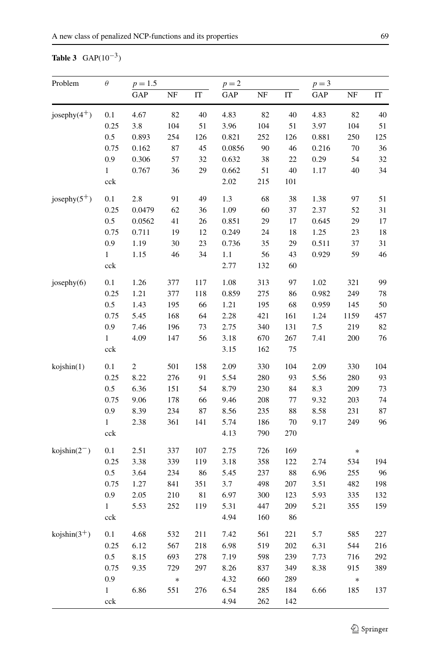# <span id="page-20-0"></span>**Table 3** GAP(10<sup>−</sup>3)

| Problem               | $\theta$     | $p = 1.5$  |          |             | $p=2$   |        |         | $p = 3$ |          |     |
|-----------------------|--------------|------------|----------|-------------|---------|--------|---------|---------|----------|-----|
|                       |              | GAP        | $\rm NF$ | IT          | GAP     | NF     | IT      | GAP     | $\rm NF$ | IT  |
| josephy $(4^+)$       | 0.1          | 4.67       | 82       | 40          | 4.83    | 82     | 40      | 4.83    | 82       | 40  |
|                       | 0.25         | 3.8        | 104      | 51          | 3.96    | 104    | 51      | 3.97    | 104      | 51  |
|                       | 0.5          | 0.893      | 254      | 126         | 0.821   | 252    | 126     | 0.881   | 250      | 125 |
|                       | 0.75         | 0.162      | 87       | 45          | 0.0856  | $90\,$ | 46      | 0.216   | 70       | 36  |
|                       | 0.9          | 0.306      | 57       | 32          | 0.632   | 38     | $22\,$  | 0.29    | 54       | 32  |
|                       | $\mathbf{1}$ | 0.767      | 36       | 29          | 0.662   | 51     | 40      | 1.17    | 40       | 34  |
|                       | cck          |            |          |             | 2.02    | 215    | 101     |         |          |     |
| josephy $(5^+)$       | 0.1          | 2.8        | 91       | 49          | 1.3     | 68     | 38      | 1.38    | 97       | 51  |
|                       | 0.25         | 0.0479     | 62       | 36          | 1.09    | 60     | 37      | 2.37    | 52       | 31  |
|                       | 0.5          | 0.0562     | 41       | 26          | 0.851   | 29     | 17      | 0.645   | 29       | 17  |
|                       | 0.75         | 0.711      | 19       | 12          | 0.249   | 24     | 18      | 1.25    | 23       | 18  |
|                       | 0.9          | 1.19       | 30       | 23          | 0.736   | 35     | 29      | 0.511   | 37       | 31  |
|                       | $\mathbf{1}$ | 1.15       | 46       | 34          | $1.1\,$ | 56     | 43      | 0.929   | 59       | 46  |
|                       | cck          |            |          |             | 2.77    | 132    | 60      |         |          |     |
| josephy $(6)$         | 0.1          | 1.26       | 377      | 117         | 1.08    | 313    | 97      | 1.02    | 321      | 99  |
|                       | 0.25         | 1.21       | 377      | 118         | 0.859   | 275    | 86      | 0.982   | 249      | 78  |
|                       | 0.5          | 1.43       | 195      | 66          | 1.21    | 195    | 68      | 0.959   | 145      | 50  |
|                       | 0.75         | 5.45       | 168      | 64          | 2.28    | 421    | 161     | 1.24    | 1159     | 457 |
|                       | 0.9          | 7.46       | 196      | 73          | 2.75    | 340    | 131     | 7.5     | 219      | 82  |
|                       | $\mathbf{1}$ | 4.09       | 147      | 56          | 3.18    | 670    | 267     | 7.41    | 200      | 76  |
|                       | cck          |            |          |             | 3.15    | 162    | $75\,$  |         |          |     |
| kojshin(1)            | 0.1          | $\sqrt{2}$ | 501      | 158         | 2.09    | 330    | 104     | 2.09    | 330      | 104 |
|                       | 0.25         | 8.22       | 276      | 91          | 5.54    | 280    | 93      | 5.56    | 280      | 93  |
|                       | 0.5          | 6.36       | 151      | 54          | 8.79    | 230    | 84      | 8.3     | 209      | 73  |
|                       | 0.75         | 9.06       | 178      | 66          | 9.46    | 208    | $77\,$  | 9.32    | 203      | 74  |
|                       | 0.9          | 8.39       | 234      | 87          | 8.56    | 235    | 88      | 8.58    | 231      | 87  |
|                       | $\mathbf{1}$ | 2.38       | 361      | 141         | 5.74    | 186    | 70      | 9.17    | 249      | 96  |
|                       | cck          |            |          |             | 4.13    | 790    | 270     |         |          |     |
| $kojshin(2^-)$        | 0.1          | 2.51       | 337      | 107         | 2.75    | 726    | 169     |         | $\ast$   |     |
|                       | 0.25         | 3.38       | 339      | 119         | 3.18    | 358    | 122     | 2.74    | 534      | 194 |
|                       | 0.5          | 3.64       | 234      | 86          | 5.45    | 237    | 88      | 6.96    | 255      | 96  |
|                       | 0.75         | 1.27       | 841      | 351         | 3.7     | 498    | 207     | 3.51    | 482      | 198 |
|                       | 0.9          | 2.05       | 210      | $8\sqrt{1}$ | 6.97    | 300    | 123     | 5.93    | 335      | 132 |
|                       | $\mathbf{1}$ | 5.53       | 252      | 119         | 5.31    | 447    | 209     | 5.21    | 355      | 159 |
|                       | cck          |            |          |             | 4.94    | 160    | 86      |         |          |     |
| $\text{kojshin}(3^+)$ | 0.1          | 4.68       | 532      | 211         | 7.42    | 561    | 221     | 5.7     | 585      | 227 |
|                       | 0.25         | 6.12       | 567      | 218         | 6.98    | 519    | $202\,$ | 6.31    | 544      | 216 |
|                       | $0.5\,$      | 8.15       | 693      | 278         | 7.19    | 598    | 239     | 7.73    | 716      | 292 |
|                       | 0.75         | 9.35       | 729      | 297         | 8.26    | 837    | 349     | 8.38    | 915      | 389 |
|                       | 0.9          |            | $\ast$   |             | 4.32    | 660    | 289     |         | $\ast$   |     |
|                       | $\mathbf{1}$ | 6.86       | 551      | 276         | 6.54    | 285    | 184     | 6.66    | 185      | 137 |
|                       | cck          |            |          |             | 4.94    | 262    | 142     |         |          |     |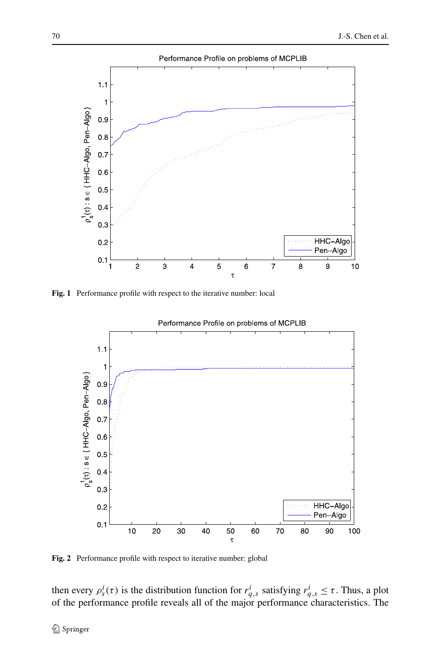

<span id="page-21-0"></span>**Fig. 1** Performance profile with respect to the iterative number: local



### Performance Profile on problems of MCPLIB

<span id="page-21-1"></span>**Fig. 2** Performance profile with respect to iterative number: global

then every  $\rho_s^i(\tau)$  is the distribution function for  $r^i_{q,s}$  satisfying  $r^i_{q,s} \leq \tau$ . Thus, a plot of the performance profile reveals all of the major performance characteristics. The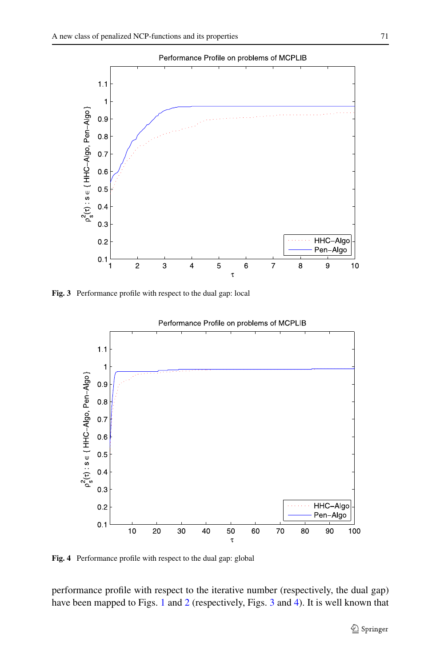

<span id="page-22-0"></span>**Fig. 3** Performance profile with respect to the dual gap: local



<span id="page-22-1"></span>**Fig. 4** Performance profile with respect to the dual gap: global

performance profile with respect to the iterative number (respectively, the dual gap) have been mapped to Figs. [1](#page-21-0) and [2](#page-21-1) (respectively, Figs. [3](#page-22-0) and [4\)](#page-22-1). It is well known that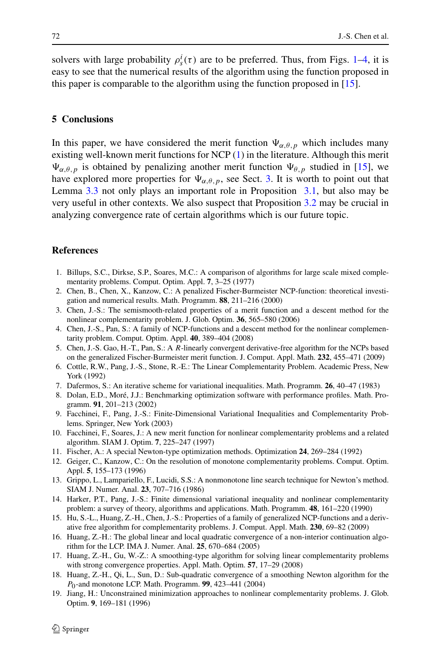<span id="page-23-13"></span>solvers with large probability  $\rho_s^i(\tau)$  are to be preferred. Thus, from Figs. [1](#page-21-0)[–4](#page-22-1), it is easy to see that the numerical results of the algorithm using the function proposed in this paper is comparable to the algorithm using the function proposed in [[15\]](#page-23-12).

### **5 Conclusions**

<span id="page-23-16"></span>In this paper, we have considered the merit function  $\Psi_{\alpha,\theta,p}$  which includes many existing well-known merit functions for NCP ([1\)](#page-0-0) in the literature. Although this merit  $\Psi_{\alpha,\theta,p}$  is obtained by penalizing another merit function  $\Psi_{\theta,p}$  studied in [\[15](#page-23-12)], we have explored more properties for  $\Psi_{\alpha,\theta,p}$ , see Sect. [3](#page-4-0). It is worth to point out that Lemma [3.3](#page-8-2) not only plays an important role in Proposition [3.1](#page-10-3), but also may be very useful in other contexts. We also suspect that Proposition [3.2](#page-13-0) may be crucial in analyzing convergence rate of certain algorithms which is our future topic.

### <span id="page-23-14"></span><span id="page-23-11"></span><span id="page-23-3"></span><span id="page-23-2"></span><span id="page-23-0"></span>**References**

- 1. Billups, S.C., Dirkse, S.P., Soares, M.C.: A comparison of algorithms for large scale mixed complementarity problems. Comput. Optim. Appl. **7**, 3–25 (1977)
- <span id="page-23-7"></span>2. Chen, B., Chen, X., Kanzow, C.: A penalized Fischer-Burmeister NCP-function: theoretical investigation and numerical results. Math. Programm. **88**, 211–216 (2000)
- <span id="page-23-17"></span>3. Chen, J.-S.: The semismooth-related properties of a merit function and a descent method for the nonlinear complementarity problem. J. Glob. Optim. **36**, 565–580 (2006)
- <span id="page-23-6"></span>4. Chen, J.-S., Pan, S.: A family of NCP-functions and a descent method for the nonlinear complementarity problem. Comput. Optim. Appl. **40**, 389–404 (2008)
- <span id="page-23-8"></span>5. Chen, J.-S. Gao, H.-T., Pan, S.: A *R*-linearly convergent derivative-free algorithm for the NCPs based on the generalized Fischer-Burmeister merit function. J. Comput. Appl. Math. **232**, 455–471 (2009)
- <span id="page-23-9"></span>6. Cottle, R.W., Pang, J.-S., Stone, R.-E.: The Linear Complementarity Problem. Academic Press, New York (1992)
- <span id="page-23-15"></span>7. Dafermos, S.: An iterative scheme for variational inequalities. Math. Programm. **26**, 40–47 (1983)
- 8. Dolan, E.D., Moré, J.J.: Benchmarking optimization software with performance profiles. Math. Programm. **91**, 201–213 (2002)
- <span id="page-23-1"></span>9. Facchinei, F., Pang, J.-S.: Finite-Dimensional Variational Inequalities and Complementarity Problems. Springer, New York (2003)
- <span id="page-23-12"></span>10. Facchinei, F., Soares, J.: A new merit function for nonlinear complementarity problems and a related algorithm. SIAM J. Optim. **7**, 225–247 (1997)
- <span id="page-23-4"></span>11. Fischer, A.: A special Newton-type optimization methods. Optimization **24**, 269–284 (1992)
- 12. Geiger, C., Kanzow, C.: On the resolution of monotone complementarity problems. Comput. Optim. Appl. **5**, 155–173 (1996)
- <span id="page-23-5"></span>13. Grippo, L., Lampariello, F., Lucidi, S.S.: A nonmonotone line search technique for Newton's method. SIAM J. Numer. Anal. **23**, 707–716 (1986)
- <span id="page-23-10"></span>14. Harker, P.T., Pang, J.-S.: Finite dimensional variational inequality and nonlinear complementarity problem: a survey of theory, algorithms and applications. Math. Programm. **48**, 161–220 (1990)
- 15. Hu, S.-L., Huang, Z.-H., Chen, J.-S.: Properties of a family of generalized NCP-functions and a derivative free algorithm for complementarity problems. J. Comput. Appl. Math. **230**, 69–82 (2009)
- 16. Huang, Z.-H.: The global linear and local quadratic convergence of a non-interior continuation algorithm for the LCP. IMA J. Numer. Anal. **25**, 670–684 (2005)
- 17. Huang, Z.-H., Gu, W.-Z.: A smoothing-type algorithm for solving linear complementarity problems with strong convergence properties. Appl. Math. Optim. **57**, 17–29 (2008)
- 18. Huang, Z.-H., Qi, L., Sun, D.: Sub-quadratic convergence of a smoothing Newton algorithm for the *P*0-and monotone LCP. Math. Programm. **99**, 423–441 (2004)
- 19. Jiang, H.: Unconstrained minimization approaches to nonlinear complementarity problems. J. Glob. Optim. **9**, 169–181 (1996)